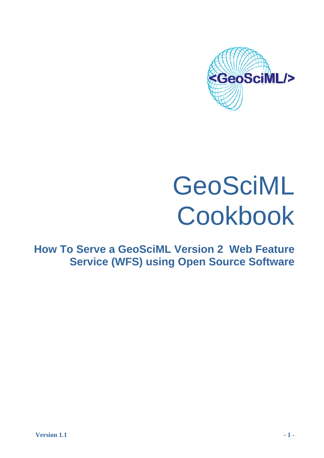

# GeoSciML Cookbook

**How To Serve a GeoSciML Version 2 Web Feature Service (WFS) using Open Source Software**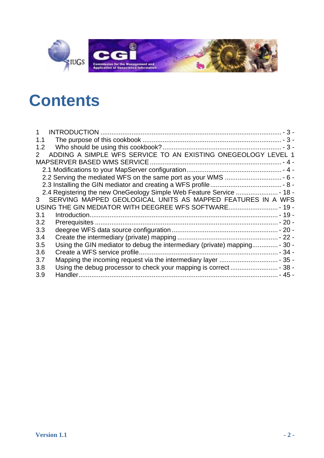

# **C [ontents](#page-2-0)**

| 1.1                                                                                        |
|--------------------------------------------------------------------------------------------|
| 1.2                                                                                        |
| ADDING A SIMPLE WFS SERVICE TO AN EXISTING ONEGEOLOGY LEVEL 1<br>$\mathbf{2}^{\mathsf{-}}$ |
|                                                                                            |
|                                                                                            |
|                                                                                            |
|                                                                                            |
|                                                                                            |
| SERVING MAPPED GEOLOGICAL UNITS AS MAPPED FEATURES IN A WFS<br>3                           |
| USING THE GIN MEDIATOR WITH DEEGREE WFS SOFTWARE - 19 -                                    |
| 3.1                                                                                        |
| 3.2                                                                                        |
| 3.3                                                                                        |
| 3.4                                                                                        |
| Using the GIN mediator to debug the intermediary (private) mapping - 30 -<br>3.5           |
| 3.6                                                                                        |
| 3.7                                                                                        |
| 3.8                                                                                        |
| 3.9                                                                                        |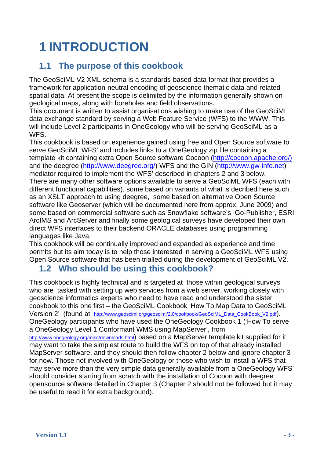# <span id="page-2-0"></span>**1 INTRODUCTION**

### **1.1 The purpose of this cookbook**

The GeoSciML V2 XML schema is a standards-based data format that provides a framework for application-neutral encoding of geoscience thematic data and related spatial data. At present the scope is delimited by the information generally shown on geological maps, along with boreholes and field observations.

This document is written to assist organisations wishing to make use of the GeoSciML data exchange standard by serving a Web Feature Service (WFS) to the WWW. This will include Level 2 participants in OneGeology who will be serving GeoSciML as a WFS.

This cookbook is based on experience gained using free and Open Source software to serve GeoSciML WFS' and includes links to a OneGeology zip file containing a template kit containing extra Open Source software Cocoon ([http://cocoon.apache.org/\)](http://cocoon.apache.org/) and the deegree (<http://www.deegree.org/>) WFS and the GIN [\(http://www.gw-info.net](http://gin-ries.nrcan-rncan.gc.ca/Home.aspx?c=2)) mediator required to implement the WFS' described in chapters 2 and 3 below. There are many other software options available to serve a GeoSciML WFS (each with different functional capabilities), some based on variants of what is decribed here such as an XSLT approach to using deegree, some based on alternative Open Source software like Geoserver (which will be documented here from approx. June 2009) and some based on commercial software such as Snowflake software's Go-Publisher, ESRI ArcIMS and ArcServer and finally some geological surveys have developed their own direct WFS interfaces to their backend ORACLE databases using programming languages like Java.

This cookbook will be continually improved and expanded as experience and time permits but its aim today is to help those interested in serving a GeoSciML WFS using Open Source software that has been trialled during the development of GeoSciML V2.

### **1.2 Who should be using this cookbook?**

This cookbook is highly technical and is targeted at those within geological surveys who are tasked with setting up web services from a web server, working closely with geoscience informatics experts who need to have read and understood the sister cookbook to this one first – the GeoSciML Cookbook 'How To Map Data to GeoSciML Version 2' (found at [http://www.geosciml.org/geosciml/2.0/cookbook/GeoSciML\\_Data\\_CookBook\\_V2.pdf](http://www.geosciml.org/geosciml/2.0/cookbook/GeoSciML_Data_CookBook_V2.pdf)). OneGeology participants who have used the OneGeology Cookbook 1 ('How To serve a OneGeology Level 1 Conformant WMS using MapServer', from <http://www.onegeology.org/misc/downloads.html>) based on a MapServer template kit supplied for it may want to take the simplest route to build the WFS on top of that already installed MapServer software, and they should then follow chapter 2 below and ignore chapter 3 for now. Those not involved with OneGeology or those who wish to install a WFS that may serve more than the very simple data generally available from a OneGeology WFS' should consider starting from scratch with the installation of Cocoon with deegree

opensource software detailed in Chapter 3 (Chapter 2 should not be followed but it may be useful to read it for extra background).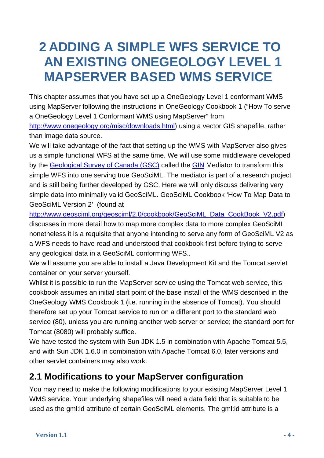## <span id="page-3-0"></span>**2 ADDING A SIMPLE WFS SERVICE TO AN EXISTING ONEGEOLOGY LEVEL 1 MAPSERVER BASED WMS SERVICE**

This chapter assumes that you have set up a OneGeology Level 1 conformant WMS using MapServer following the instructions in OneGeology Cookbook 1 ("How To serve a OneGeology Level 1 Conformant WMS using MapServer" from <http://www.onegeology.org/misc/downloads.html>) using a vector GIS shapefile, rather than image data source.

We will take advantage of the fact that setting up the WMS with MapServer also gives us a simple functional WFS at the same time. We will use some middleware developed by the [Geological Survey of Canada \(GSC\)](http://gsc.nrcan.gc.ca/index_e.php) called the [GIN](http://gin-ries.nrcan-rncan.gc.ca/Home.aspx?c=1) Mediator to transform this simple WFS into one serving true GeoSciML. The mediator is part of a research project and is still being further developed by GSC. Here we will only discuss delivering very simple data into minimally valid GeoSciML. GeoSciML Cookbook 'How To Map Data to GeoSciML Version 2' (found at

[http://www.geosciml.org/geosciml/2.0/cookbook/GeoSciML\\_Data\\_CookBook\\_V2.pdf](http://www.geosciml.org/geosciml/2.0/cookbook/GeoSciML_Data_CookBook_V2.pdf)) discusses in more detail how to map more complex data to more complex GeoSciML nonetheless it is a requisite that anyone intending to serve any form of GeoSciML V2 as a WFS needs to have read and understood that cookbook first before trying to serve any geological data in a GeoSciML conforming WFS..

We will assume you are able to install a Java Development Kit and the Tomcat servlet container on your server yourself.

Whilst it is possible to run the MapServer service using the Tomcat web service, this cookbook assumes an initial start point of the base install of the WMS described in the OneGeology WMS Cookbook 1 (i.e. running in the absence of Tomcat). You should therefore set up your Tomcat service to run on a different port to the standard web service (80), unless you are running another web server or service; the standard port for Tomcat (8080) will probably suffice.

We have tested the system with Sun JDK 1.5 in combination with Apache Tomcat 5.5, and with Sun JDK 1.6.0 in combination with Apache Tomcat 6.0, later versions and other servlet containers may also work.

### <span id="page-3-1"></span>**2.1 Modifications to your MapServer configuration**

You may need to make the following modifications to your existing MapServer Level 1 WMS service. Your underlying shapefiles will need a data field that is suitable to be used as the gml:id attribute of certain GeoSciML elements. The gml:id attribute is a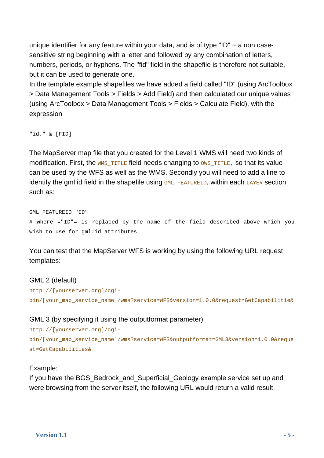unique identifier for any feature within your data, and is of type "ID"  $\sim$  a non casesensitive string beginning with a letter and followed by any combination of letters, numbers, periods, or hyphens. The "fid" field in the shapefile is therefore not suitable, but it can be used to generate one.

In the template example shapefiles we have added a field called "ID" (using ArcToolbox > Data Management Tools > Fields > Add Field) and then calculated our unique values (using ArcToolbox > Data Management Tools > Fields > Calculate Field), with the expression

"id." & [FID]

The MapServer map file that you created for the Level 1 WMS will need two kinds of modification. First, the WMS TITLE field needs changing to  $\cos$  TITLE, so that its value can be used by the WFS as well as the WMS. Secondly you will need to add a line to identify the gml: id field in the shapefile using  $GML$  FEATUREID, within each LAYER section such as:

GML\_FEATUREID "ID" # where ="ID"= is replaced by the name of the field described above which you wish to use for gml:id attributes

You can test that the MapServer WFS is working by using the following URL request templates:

### GML 2 (default)

```
http://[yourserver.org]/cgi-
bin/[your_map_service_name]/wms?service=WFS&version=1.0.0&request=GetCapabilitie&
```
### GML 3 (by specifying it using the outputformat parameter)

```
http://[yourserver.org]/cgi-
bin/[your_map_service_name]/wms?service=WFS&outputformat=GML3&version=1.0.0&reque
st=GetCapabilities&
```
### Example:

If you have the BGS Bedrock and Superficial Geology example service set up and were browsing from the server itself, the following URL would return a valid result.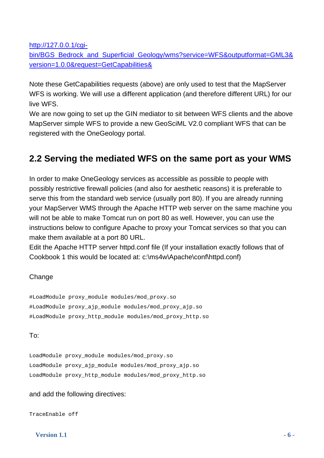[http://127.0.0.1/cgi-](http://127.0.0.1/cgi-bin/BGS_Bedrock_and_Superficial_Geology/wms?service=WFS&outputformat=GML3&version=1.0.0&request=GetCapabilities&)

[bin/BGS\\_Bedrock\\_and\\_Superficial\\_Geology/wms?service=WFS&outputformat=GML3&](http://127.0.0.1/cgi-bin/BGS_Bedrock_and_Superficial_Geology/wms?service=WFS&outputformat=GML3&version=1.0.0&request=GetCapabilities&) [version=1.0.0&request=GetCapabilities&](http://127.0.0.1/cgi-bin/BGS_Bedrock_and_Superficial_Geology/wms?service=WFS&outputformat=GML3&version=1.0.0&request=GetCapabilities&) 

Note these GetCapabilities requests (above) are only used to test that the MapServer WFS is working. We will use a different application (and therefore different URL) for our live WFS.

We are now going to set up the GIN mediator to sit between WFS clients and the above MapServer simple WFS to provide a new GeoSciML V2.0 compliant WFS that can be registered with the OneGeology portal.

### <span id="page-5-0"></span>**2.2 Serving the mediated WFS on the same port as your WMS**

In order to make OneGeology services as accessible as possible to people with possibly restrictive firewall policies (and also for aesthetic reasons) it is preferable to serve this from the standard web service (usually port 80). If you are already running your MapServer WMS through the Apache HTTP web server on the same machine you will not be able to make Tomcat run on port 80 as well. However, you can use the instructions below to configure Apache to proxy your Tomcat services so that you can make them available at a port 80 URL.

Edit the Apache HTTP server httpd.conf file (If your installation exactly follows that of Cookbook 1 this would be located at: c:\ms4w\Apache\conf\httpd.conf)

### **Change**

#LoadModule proxy\_module modules/mod\_proxy.so #LoadModule proxy\_ajp\_module modules/mod\_proxy\_ajp.so #LoadModule proxy\_http\_module modules/mod\_proxy\_http.so

### To:

LoadModule proxy\_module modules/mod\_proxy.so LoadModule proxy\_ajp\_module modules/mod\_proxy\_ajp.so LoadModule proxy\_http\_module modules/mod\_proxy\_http.so

### and add the following directives:

TraceEnable off

 **Version 1.1**  $-6$  -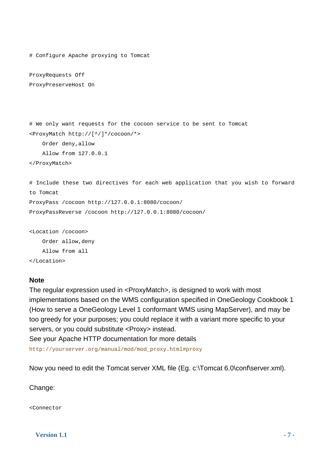```
# Configure Apache proxying to Tomcat 
ProxyRequests Off 
ProxyPreserveHost On 
# We only want requests for the cocoon service to be sent to Tomcat 
<ProxyMatch http://[^/]*/cocoon/*> 
     Order deny,allow 
     Allow from 127.0.0.1 
</ProxyMatch> 
# Include these two directives for each web application that you wish to forward 
to Tomcat 
ProxyPass /cocoon http://127.0.0.1:8080/cocoon/ 
ProxyPassReverse /cocoon http://127.0.0.1:8080/cocoon/
```
<Location /cocoon> Order allow,deny Allow from all

</Location>

#### **Note**

The regular expression used in <ProxyMatch>, is designed to work with most implementations based on the WMS configuration specified in OneGeology Cookbook 1 (How to serve a OneGeology Level 1 conformant WMS using MapServer), and may be too greedy for your purposes; you could replace it with a variant more specific to your servers, or you could substitute <Proxy> instead.

See your Apache HTTP documentation for more details

http://yourserver.org/manual/mod/mod\_proxy.html#proxy

Now you need to edit the Tomcat server XML file (Eg. c:\Tomcat 6.0\conf\server.xml).

Change:

<Connector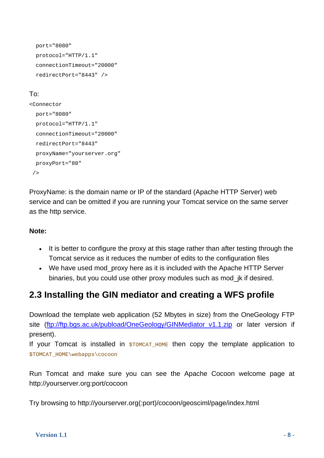```
 port="8080" 
 protocol="HTTP/1.1" 
 connectionTimeout="20000" 
 redirectPort="8443" />
```
### To:

```
<Connector 
   port="8080" 
  protocol="HTTP/1.1" 
   connectionTimeout="20000" 
   redirectPort="8443" 
  proxyName="yourserver.org" 
  proxyPort="80" 
/
```
ProxyName: is the domain name or IP of the standard (Apache HTTP Server) web service and can be omitted if you are running your Tomcat service on the same server as the http service.

### **Note:**

- It is better to configure the proxy at this stage rather than after testing through the Tomcat service as it reduces the number of edits to the configuration files
- We have used mod proxy here as it is included with the Apache HTTP Server binaries, but you could use other proxy modules such as mod\_jk if desired.

### **2.3 Installing the GIN mediator and creating a WFS profile**

Download the template web application (52 Mbytes in size) from the OneGeology FTP site (ftp://ftp.bgs.ac.uk/pubload/OneGeology/GINMediator v1.1.zip or later version if present).

If your Tomcat is installed in  $$TOMCAT_HOME$  then copy the template application to \$TOMCAT\_HOME\webapps\cocoon

Run Tomcat and make sure you can see the Apache Cocoon welcome page at http://yourserver.org:port/cocoon

Try browsing to http://yourserver.org(:port)/cocoon/geosciml/page/index.html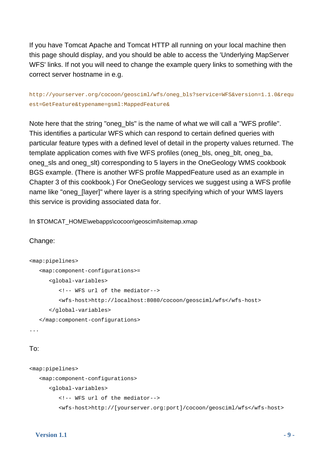If you have Tomcat Apache and Tomcat HTTP all running on your local machine then this page should display, and you should be able to access the 'Underlying MapServer WFS' links. If not you will need to change the example query links to something with the correct server hostname in e.g.

### http://yourserver.org/cocoon/geosciml/wfs/oneg\_bls?service=WFS&version=1.1.0&requ est=GetFeature&typename=gsml:MappedFeature&

Note here that the string "oneg\_bls" is the name of what we will call a "WFS profile". This identifies a particular WFS which can respond to certain defined queries with particular feature types with a defined level of detail in the property values returned. The template application comes with five WFS profiles (oneg\_bls, oneg\_blt, oneg\_ba, oneg\_sls and oneg\_slt) corresponding to 5 layers in the OneGeology WMS cookbook BGS example. (There is another WFS profile MappedFeature used as an example in Chapter 3 of this cookbook.) For OneGeology services we suggest using a WFS profile name like "oneg\_[layer]" where layer is a string specifying which of your WMS layers this service is providing associated data for.

In \$TOMCAT\_HOME\webapps\cocoon\geosciml\sitemap.xmap

### Change:

```
<map:pipelines> 
    <map:component-configurations>= 
       <global-variables> 
          <!-- WFS url of the mediator--> 
          <wfs-host>http://localhost:8080/cocoon/geosciml/wfs</wfs-host> 
       </global-variables> 
    </map:component-configurations> 
...
```
### To:

```
<map:pipelines> 
    <map:component-configurations> 
       <global-variables> 
          <!-- WFS url of the mediator--> 
          <wfs-host>http://[yourserver.org:port]/cocoon/geosciml/wfs</wfs-host>
```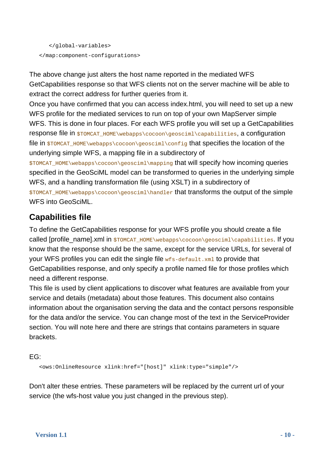```
 </global-variables> 
 </map:component-configurations>
```
The above change just alters the host name reported in the mediated WFS GetCapabilities response so that WFS clients not on the server machine will be able to extract the correct address for further queries from it.

Once you have confirmed that you can access index.html, you will need to set up a new WFS profile for the mediated services to run on top of your own MapServer simple WFS. This is done in four places. For each WFS profile you will set up a GetCapabilities response file in \$TOMCAT\_HOME\webapps\cocoon\geosciml\capabilities, a configuration file in  $$TOMCAT$   $HOME\webapps\ccoson\qeosciml\confiq$  that specifies the location of the underlying simple WFS, a mapping file in a subdirectory of

\$TOMCAT\_HOME\webapps\cocoon\geosciml\mapping that will specify how incoming queries specified in the GeoSciML model can be transformed to queries in the underlying simple WFS, and a handling transformation file (using XSLT) in a subdirectory of \$TOMCAT\_HOME\webapps\cocoon\geosciml\handler that transforms the output of the simple

WFS into GeoSciML.

### **Capabilities file**

To define the GetCapabilities response for your WFS profile you should create a file called [profile\_name].xml in \$TOMCAT\_HOME\webapps\cocoon\geosciml\capabilities. If you know that the response should be the same, except for the service URLs, for several of your WFS profiles you can edit the single file  $wfs-default.xml$  to provide that GetCapabilities response, and only specify a profile named file for those profiles which need a different response.

This file is used by client applications to discover what features are available from your service and details (metadata) about those features. This document also contains information about the organisation serving the data and the contact persons responsible for the data and/or the service. You can change most of the text in the ServiceProvider section. You will note here and there are strings that contains parameters in square brackets.

EG:

<ows:OnlineResource xlink:href="[host]" xlink:type="simple"/>

Don't alter these entries. These parameters will be replaced by the current url of your service (the wfs-host value you just changed in the previous step).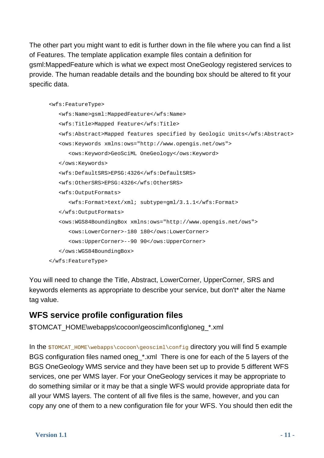The other part you might want to edit is further down in the file where you can find a list of Features. The template application example files contain a definition for gsml:MappedFeature which is what we expect most OneGeology registered services to provide. The human readable details and the bounding box should be altered to fit your specific data.

```
 <wfs:FeatureType> 
    <wfs:Name>gsml:MappedFeature</wfs:Name> 
    <wfs:Title>Mapped Feature</wfs:Title> 
    <wfs:Abstract>Mapped features specified by Geologic Units</wfs:Abstract> 
    <ows:Keywords xmlns:ows="http://www.opengis.net/ows"> 
       <ows:Keyword>GeoSciML OneGeology</ows:Keyword> 
    </ows:Keywords> 
    <wfs:DefaultSRS>EPSG:4326</wfs:DefaultSRS> 
    <wfs:OtherSRS>EPSG:4326</wfs:OtherSRS> 
    <wfs:OutputFormats> 
       <wfs:Format>text/xml; subtype=gml/3.1.1</wfs:Format> 
    </wfs:OutputFormats> 
    <ows:WGS84BoundingBox xmlns:ows="http://www.opengis.net/ows"> 
       <ows:LowerCorner>-180 180</ows:LowerCorner> 
       <ows:UpperCorner>--90 90</ows:UpperCorner> 
    </ows:WGS84BoundingBox> 
 </wfs:FeatureType>
```
You will need to change the Title, Abstract, LowerCorner, UpperCorner, SRS and keywords elements as appropriate to describe your service, but don't\* alter the Name tag value.

### **WFS service profile configuration files**

\$TOMCAT\_HOME\webapps\cocoon\geosciml\config\oneg\_\*.xml

In the \$TOMCAT\_HOME\webapps\cocoon\geosciml\config directory you will find 5 example BGS configuration files named oneg\_\*.xml There is one for each of the 5 layers of the BGS OneGeology WMS service and they have been set up to provide 5 different WFS services, one per WMS layer. For your OneGeology services it may be appropriate to do something similar or it may be that a single WFS would provide appropriate data for all your WMS layers. The content of all five files is the same, however, and you can copy any one of them to a new configuration file for your WFS. You should then edit the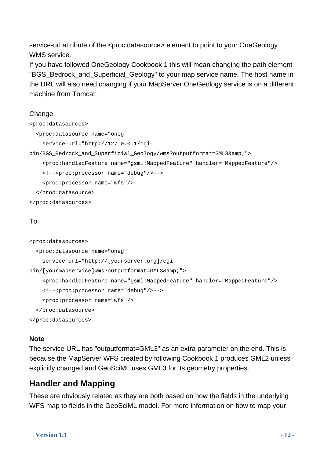service-url attribute of the <proc:datasource> element to point to your OneGeology WMS service.

If you have followed OneGeology Cookbook 1 this will mean changing the path element "BGS Bedrock and Superficial Geology" to your map service name. The host name in the URL will also need changing if your MapServer OneGeology service is on a different machine from Tomcat.

### Change:

```
<proc:datasources> 
   <proc:datasource name="oneg" 
     service-url="http://127.0.0.1/cgi-
bin/BGS Bedrock and Superficial Geology/wms?outputformat=GML3&">
     <proc:handledFeature name="gsml:MappedFeature" handler="MappedFeature"/> 
     <!--<proc:processor name="debug"/>--> 
     <proc:processor name="wfs"/> 
   </proc:datasource> 
</proc:datasources>
```
### To:

```
<proc:datasources> 
   <proc:datasource name="oneg" 
     service-url="http://[yourserver.org]/cgi-
bin/[yourmapservice]wms?outputformat=GML3&">
     <proc:handledFeature name="gsml:MappedFeature" handler="MappedFeature"/> 
     <!--<proc:processor name="debug"/>--> 
     <proc:processor name="wfs"/> 
   </proc:datasource> 
</proc:datasources>
```
### **Note**

The service URL has "outputformat=GML3" as an extra parameter on the end. This is because the MapServer WFS created by following Cookbook 1 produces GML2 unless explicitly changed and GeoSciML uses GML3 for its geometry properties.

### **Handler and Mapping**

These are obviously related as they are both based on how the fields in the underlying WFS map to fields in the GeoSciML model. For more information on how to map your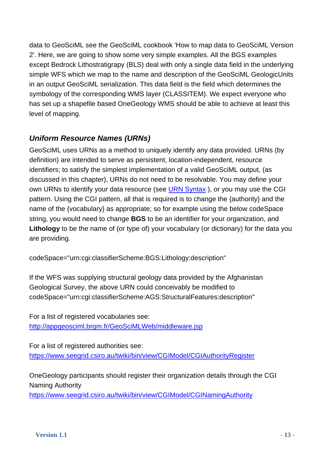data to GeoSciML see the GeoSciML cookbook 'How to map data to GeoSciML Version 2'. Here, we are going to show some very simple examples. All the BGS examples except Bedrock Lithostratigrapy (BLS) deal with only a single data field in the underlying simple WFS which we map to the name and description of the GeoSciML GeologicUnits in an output GeoSciML serialization. This data field is the field which determines the symbology of the corresponding WMS layer (CLASSITEM). We expect everyone who has set up a shapefile based OneGeology WMS should be able to achieve at least this level of mapping.

### *Uniform Resource Names (URNs)*

GeoSciML uses URNs as a method to uniquely identify any data provided. URNs (by definition) are intended to serve as persistent, location-independent, resource identifiers; to satisfy the simplest implementation of a valid GeoSciML output, (as discussed in this chapter), URNs do not need to be resolvable. You may define your own URNs to identify your data resource (see [URN Syntax](http://tools.ietf.org/html/rfc2141) ), or you may use the CGI pattern. Using the CGI pattern, all that is required is to change the {authority} and the name of the {vocabulary} as appropriate; so for example using the below codeSpace string, you would need to change **BGS** to be an identifier for your organization, and **Lithology** to be the name of (or type of) your vocabulary (or dictionary) for the data you are providing.

codeSpace="urn:cgi:classifierScheme:BGS:Lithology:description"

If the WFS was supplying structural geology data provided by the Afghanistan Geological Survey, the above URN could conceivably be modified to codeSpace="urn:cgi:classifierScheme:AGS:StructuralFeatures:description"

For a list of registered vocabularies see: <http://appgeosciml.brgm.fr/GeoSciMLWeb/middleware.jsp>

For a list of registered authorities see: <https://www.seegrid.csiro.au/twiki/bin/view/CGIModel/CGIAuthorityRegister>

OneGeology participants should register their organization details through the CGI Naming Authority

<https://www.seegrid.csiro.au/twiki/bin/view/CGIModel/CGINamingAuthority>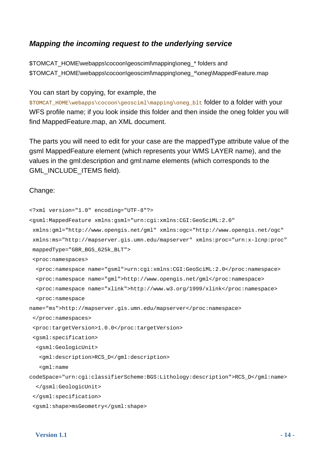### *Mapping the incoming request to the underlying service*

\$TOMCAT\_HOME\webapps\cocoon\geosciml\mapping\oneg\_\* folders and \$TOMCAT\_HOME\webapps\cocoon\geosciml\mapping\oneg\_\*\oneg\MappedFeature.map

#### You can start by copying, for example, the

\$TOMCAT\_HOME\webapps\cocoon\geosciml\mapping\oneg\_blt folder to a folder with your WFS profile name; if you look inside this folder and then inside the oneg folder you will find MappedFeature.map, an XML document.

The parts you will need to edit for your case are the mappedType attribute value of the gsml MappedFeature element (which represents your WMS LAYER name), and the values in the gml:description and gml:name elements (which corresponds to the GML\_INCLUDE\_ITEMS field).

#### Change:

```
<?xml version="1.0" encoding="UTF-8"?> 
<gsml:MappedFeature xmlns:gsml="urn:cgi:xmlns:CGI:GeoSciML:2.0" 
  xmlns:gml="http://www.opengis.net/gml" xmlns:ogc="http://www.opengis.net/ogc" 
  xmlns:ms="http://mapserver.gis.umn.edu/mapserver" xmlns:proc="urn:x-lcnp:proc" 
  mappedType="GBR_BGS_625k_BLT"> 
  <proc:namespaces> 
   <proc:namespace name="gsml">urn:cgi:xmlns:CGI:GeoSciML:2.0</proc:namespace> 
   <proc:namespace name="gml">http://www.opengis.net/gml</proc:namespace> 
   <proc:namespace name="xlink">http://www.w3.org/1999/xlink</proc:namespace> 
   <proc:namespace 
name="ms">http://mapserver.gis.umn.edu/mapserver</proc:namespace> 
  </proc:namespaces> 
  <proc:targetVersion>1.0.0</proc:targetVersion> 
  <gsml:specification> 
   <gsml:GeologicUnit> 
    <gml:description>RCS_D</gml:description> 
    <gml:name 
codeSpace="urn:cgi:classifierScheme:BGS:Lithology:description">RCS_D</gml:name> 
   </gsml:GeologicUnit> 
  </gsml:specification> 
  <gsml:shape>msGeometry</gsml:shape>
```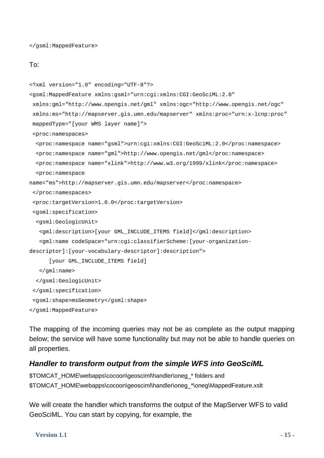</gsml:MappedFeature>

#### To:

```
<?xml version="1.0" encoding="UTF-8"?> 
<gsml:MappedFeature xmlns:gsml="urn:cgi:xmlns:CGI:GeoSciML:2.0" 
  xmlns:gml="http://www.opengis.net/gml" xmlns:ogc="http://www.opengis.net/ogc" 
  xmlns:ms="http://mapserver.gis.umn.edu/mapserver" xmlns:proc="urn:x-lcnp:proc" 
  mappedType="[your WMS layer name]"> 
  <proc:namespaces> 
   <proc:namespace name="gsml">urn:cgi:xmlns:CGI:GeoSciML:2.0</proc:namespace> 
   <proc:namespace name="gml">http://www.opengis.net/gml</proc:namespace> 
   <proc:namespace name="xlink">http://www.w3.org/1999/xlink</proc:namespace> 
   <proc:namespace 
name="ms">http://mapserver.gis.umn.edu/mapserver</proc:namespace> 
  </proc:namespaces> 
  <proc:targetVersion>1.0.0</proc:targetVersion> 
  <gsml:specification> 
   <gsml:GeologicUnit> 
    <gml:description>[your GML_INCLUDE_ITEMS field]</gml:description> 
    <gml:name codeSpace="urn:cgi:classifierScheme:[your-organization-
descriptor]:[your-vocabulary-descriptor]:description"> 
       [your GML_INCLUDE_ITEMS field] 
    </gml:name> 
   </gsml:GeologicUnit> 
  </gsml:specification> 
  <gsml:shape>msGeometry</gsml:shape> 
</gsml:MappedFeature>
```
The mapping of the incoming queries may not be as complete as the output mapping below; the service will have some functionality but may not be able to handle queries on all properties.

### *Handler to transform output from the simple WFS into GeoSciML*

```
$TOMCAT_HOME\webapps\cocoon\geosciml\handler\oneg_* folders and 
$TOMCAT_HOME\webapps\cocoon\geosciml\handler\oneg_*\oneg\MappedFeature.xslt
```
We will create the handler which transforms the output of the MapServer WFS to valid GeoSciML. You can start by copying, for example, the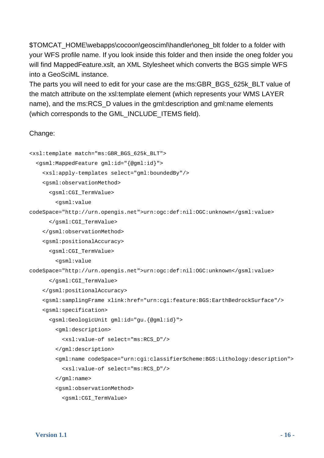\$TOMCAT\_HOME\webapps\cocoon\geosciml\handler\oneg\_blt folder to a folder with your WFS profile name. If you look inside this folder and then inside the oneg folder you will find MappedFeature.xslt, an XML Stylesheet which converts the BGS simple WFS into a GeoSciML instance.

The parts you will need to edit for your case are the ms:GBR\_BGS\_625k\_BLT value of the match attribute on the xsl:template element (which represents your WMS LAYER name), and the ms:RCS\_D values in the gml:description and gml:name elements (which corresponds to the GML\_INCLUDE\_ITEMS field).

### Change:

```
<xsl:template match="ms:GBR_BGS_625k_BLT"> 
   <gsml:MappedFeature gml:id="{@gml:id}"> 
     <xsl:apply-templates select="gml:boundedBy"/> 
     <gsml:observationMethod> 
       <gsml:CGI_TermValue> 
         <gsml:value 
codeSpace="http://urn.opengis.net">urn:ogc:def:nil:OGC:unknown</gsml:value> 
       </gsml:CGI_TermValue> 
     </gsml:observationMethod> 
     <gsml:positionalAccuracy> 
       <gsml:CGI_TermValue> 
         <gsml:value 
codeSpace="http://urn.opengis.net">urn:ogc:def:nil:OGC:unknown</gsml:value> 
       </gsml:CGI_TermValue> 
     </gsml:positionalAccuracy> 
     <gsml:samplingFrame xlink:href="urn:cgi:feature:BGS:EarthBedrockSurface"/> 
     <gsml:specification> 
       <gsml:GeologicUnit gml:id="gu.{@gml:id}"> 
         <gml:description> 
           <xsl:value-of select="ms:RCS_D"/> 
         </gml:description> 
         <gml:name codeSpace="urn:cgi:classifierScheme:BGS:Lithology:description"> 
           <xsl:value-of select="ms:RCS_D"/> 
         </gml:name> 
         <gsml:observationMethod> 
           <gsml:CGI_TermValue>
```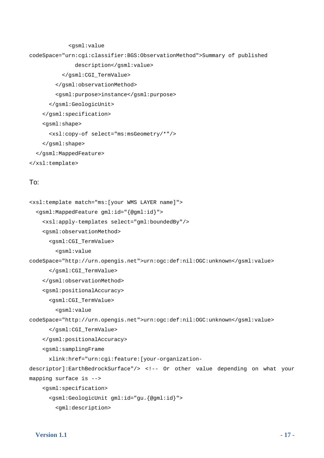```
 <gsml:value 
codeSpace="urn:cgi:classifier:BGS:ObservationMethod">Summary of published 
                description</gsml:value> 
           </gsml:CGI_TermValue> 
         </gsml:observationMethod> 
         <gsml:purpose>instance</gsml:purpose> 
       </gsml:GeologicUnit> 
     </gsml:specification> 
     <gsml:shape> 
       <xsl:copy-of select="ms:msGeometry/*"/> 
     </gsml:shape> 
   </gsml:MappedFeature>
```

```
</xsl:template>
```
### To:

```
<xsl:template match="ms:[your WMS LAYER name]"> 
   <gsml:MappedFeature gml:id="{@gml:id}"> 
     <xsl:apply-templates select="gml:boundedBy"/> 
     <gsml:observationMethod> 
       <gsml:CGI_TermValue> 
         <gsml:value 
codeSpace="http://urn.opengis.net">urn:ogc:def:nil:OGC:unknown</gsml:value> 
       </gsml:CGI_TermValue> 
     </gsml:observationMethod> 
     <gsml:positionalAccuracy> 
       <gsml:CGI_TermValue> 
         <gsml:value 
codeSpace="http://urn.opengis.net">urn:ogc:def:nil:OGC:unknown</gsml:value> 
       </gsml:CGI_TermValue> 
     </gsml:positionalAccuracy> 
     <gsml:samplingFrame 
       xlink:href="urn:cgi:feature:[your-organization-
descriptor]:EarthBedrockSurface"/> <!-- Or other value depending on what your 
mapping surface is --> 
     <gsml:specification> 
       <gsml:GeologicUnit gml:id="gu.{@gml:id}"> 
         <gml:description>
```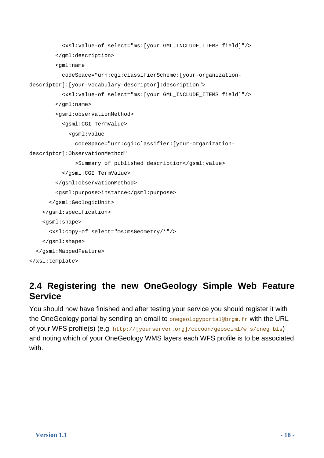```
 <xsl:value-of select="ms:[your GML_INCLUDE_ITEMS field]"/> 
         </gml:description> 
         <gml:name 
           codeSpace="urn:cgi:classifierScheme:[your-organization-
descriptor]:[your-vocabulary-descriptor]:description"> 
           <xsl:value-of select="ms:[your GML_INCLUDE_ITEMS field]"/> 
         </gml:name> 
         <gsml:observationMethod> 
           <gsml:CGI_TermValue> 
              <gsml:value 
                codeSpace="urn:cgi:classifier:[your-organization-
descriptor]:ObservationMethod" 
                >Summary of published description</gsml:value> 
           </gsml:CGI_TermValue> 
         </gsml:observationMethod> 
         <gsml:purpose>instance</gsml:purpose> 
       </gsml:GeologicUnit> 
     </gsml:specification> 
     <gsml:shape> 
       <xsl:copy-of select="ms:msGeometry/*"/> 
     </gsml:shape> 
   </gsml:MappedFeature> 
</xsl:template>
```
### <span id="page-17-0"></span>**2.4 Registering the new OneGeology Simple Web Feature Service**

You should now have finished and after testing your service you should register it with the OneGeology portal by sending an email to onegeologyportal@brgm.fr with the URL of your WFS profile(s) (e.g. http://[yourserver.org]/cocoon/geosciml/wfs/oneg\_bls) and noting which of your OneGeology WMS layers each WFS profile is to be associated with.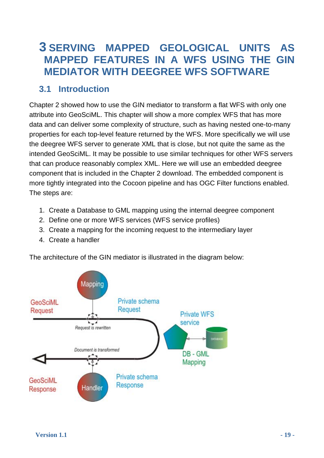### <span id="page-18-0"></span>**3 SERVING MAPPED GEOLOGICAL UNITS AS MAPPED FEATURES IN A WFS USING THE GIN MEDIATOR WITH DEEGREE WFS SOFTWARE**

### **3.1 Introduction**

<span id="page-18-1"></span>Chapter 2 showed how to use the GIN mediator to transform a flat WFS with only one attribute into GeoSciML. This chapter will show a more complex WFS that has more data and can deliver some complexity of structure, such as having nested one-to-many properties for each top-level feature returned by the WFS. More specifically we will use the deegree WFS server to generate XML that is close, but not quite the same as the intended GeoSciML. It may be possible to use similar techniques for other WFS servers that can produce reasonably complex XML. Here we will use an embedded deegree component that is included in the Chapter 2 download. The embedded component is more tightly integrated into the Cocoon pipeline and has OGC Filter functions enabled. The steps are:

- 1. Create a Database to GML mapping using the internal deegree component
- 2. Define one or more WFS services (WFS service profiles)
- 3. Create a mapping for the incoming request to the intermediary layer
- 4. Create a handler

The architecture of the GIN mediator is illustrated in the diagram below:

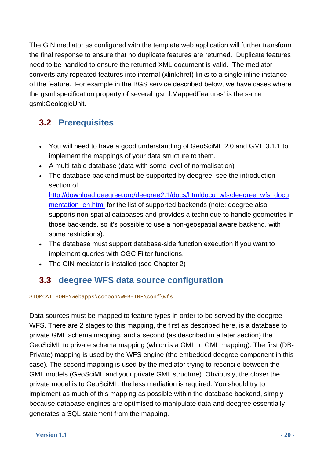The GIN mediator as configured with the template web application will further transform the final response to ensure that no duplicate features are returned. Duplicate features need to be handled to ensure the returned XML document is valid. The mediator converts any repeated features into internal (xlink:href) links to a single inline instance of the feature. For example in the BGS service described below, we have cases where the gsml:specification property of several 'gsml:MappedFeatures' is the same gsml:GeologicUnit.

### **3.2 Prerequisites**

- You will need to have a good understanding of GeoSciML 2.0 and GML 3.1.1 to implement the mappings of your data structure to them.
- A multi-table database (data with some level of normalisation)
- The database backend must be supported by deegree, see the introduction section of

[http://download.deegree.org/deegree2.1/docs/htmldocu\\_wfs/deegree\\_wfs\\_docu](http://download.deegree.org/deegree2.1/docs/htmldocu_wfs/deegree_wfs_documentation_en.html) [mentation\\_en.html](http://download.deegree.org/deegree2.1/docs/htmldocu_wfs/deegree_wfs_documentation_en.html) for the list of supported backends (note: deegree also supports non-spatial databases and provides a technique to handle geometries in those backends, so it's possible to use a non-geospatial aware backend, with some restrictions).

- The database must support database-side function execution if you want to implement queries with OGC Filter functions.
- The GIN mediator is installed (see Chapter 2)

### **3.3 deegree WFS data source configuration**

<span id="page-19-0"></span>\$TOMCAT\_HOME\webapps\cocoon\WEB-INF\conf\wfs

Data sources must be mapped to feature types in order to be served by the deegree WFS. There are 2 stages to this mapping, the first as described here, is a database to private GML schema mapping, and a second (as described in a later section) the GeoSciML to private schema mapping (which is a GML to GML mapping). The first (DB-Private) mapping is used by the WFS engine (the embedded deegree component in this case). The second mapping is used by the mediator trying to reconcile between the GML models (GeoSciML and your private GML structure). Obviously, the closer the private model is to GeoSciML, the less mediation is required. You should try to implement as much of this mapping as possible within the database backend, simply because database engines are optimised to manipulate data and deegree essentially generates a SQL statement from the mapping.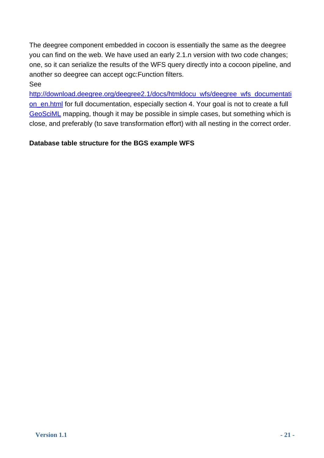The deegree component embedded in cocoon is essentially the same as the deegree you can find on the web. We have used an early 2.1.n version with two code changes; one, so it can serialize the results of the WFS query directly into a cocoon pipeline, and another so deegree can accept ogc:Function filters.

### See

[http://download.deegree.org/deegree2.1/docs/htmldocu\\_wfs/deegree\\_wfs\\_documentati](http://download.deegree.org/deegree2.1/docs/htmldocu_wfs/deegree_wfs_documentation_en.html) [on\\_en.html](http://download.deegree.org/deegree2.1/docs/htmldocu_wfs/deegree_wfs_documentation_en.html) for full documentation, especially section 4. Your goal is not to create a full [GeoSciML](https://www.seegrid.csiro.au/twiki/bin/view/CGIModel/GeoSciML) mapping, though it may be possible in simple cases, but something which is close, and preferably (to save transformation effort) with all nesting in the correct order.

### **Database table structure for the BGS example WFS**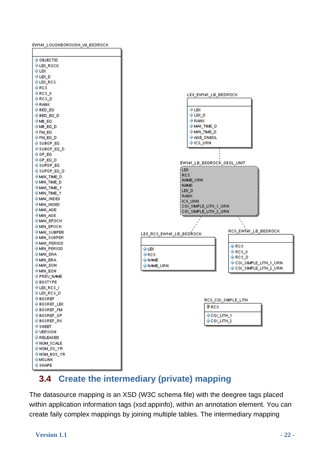

### **3.4 Create the intermediary (private) mapping**

<span id="page-21-0"></span>The datasource mapping is an XSD (W3C schema file) with the deegree tags placed within application information tags (xsd:appinfo), within an annotation element. You can create faily complex mappings by joining multiple tables. The intermediary mapping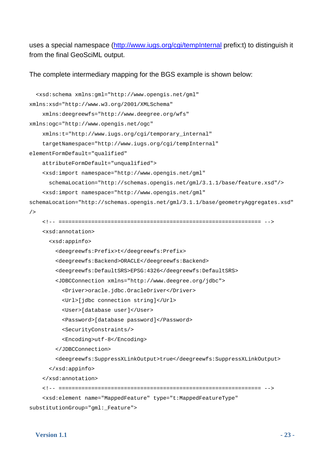uses a special namespace (<http://www.iugs.org/cgi/tempInternal>prefix:t) to distinguish it from the final GeoSciML output.

The complete intermediary mapping for the BGS example is shown below:

```
 <xsd:schema xmlns:gml="http://www.opengis.net/gml" 
xmlns:xsd="http://www.w3.org/2001/XMLSchema" 
     xmlns:deegreewfs="http://www.deegree.org/wfs" 
xmlns:ogc="http://www.opengis.net/ogc" 
     xmlns:t="http://www.iugs.org/cgi/temporary_internal" 
     targetNamespace="http://www.iugs.org/cgi/tempInternal" 
elementFormDefault="qualified"
     attributeFormDefault="unqualified"> 
     <xsd:import namespace="http://www.opengis.net/gml" 
       schemaLocation="http://schemas.opengis.net/gml/3.1.1/base/feature.xsd"/> 
     <xsd:import namespace="http://www.opengis.net/gml" 
schemaLocation="http://schemas.opengis.net/gml/3.1.1/base/geometryAggregates.xsd"
/ <!-- ============================================================== --> 
     <xsd:annotation> 
       <xsd:appinfo> 
         <deegreewfs:Prefix>t</deegreewfs:Prefix> 
         <deegreewfs:Backend>ORACLE</deegreewfs:Backend> 
         <deegreewfs:DefaultSRS>EPSG:4326</deegreewfs:DefaultSRS> 
         <JDBCConnection xmlns="http://www.deegree.org/jdbc"> 
           <Driver>oracle.jdbc.OracleDriver</Driver> 
           <Url>[jdbc connection string]</Url> 
           <User>[database user]</User> 
           <Password>[database password]</Password> 
           <SecurityConstraints/> 
           <Encoding>utf-8</Encoding> 
         </JDBCConnection> 
         <deegreewfs:SuppressXLinkOutput>true</deegreewfs:SuppressXLinkOutput> 
       </xsd:appinfo> 
     </xsd:annotation> 
     <!-- ============================================================== --> 
     <xsd:element name="MappedFeature" type="t:MappedFeatureType" 
substitutionGroup="gml:_Feature">
```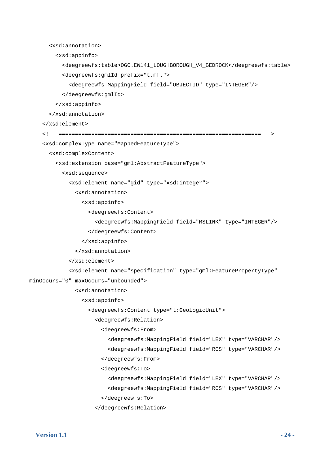```
 <xsd:annotation> 
         <xsd:appinfo> 
           <deegreewfs:table>OGC.EW141_LOUGHBOROUGH_V4_BEDROCK</deegreewfs:table> 
           <deegreewfs:gmlId prefix="t.mf."> 
              <deegreewfs:MappingField field="OBJECTID" type="INTEGER"/> 
           </deegreewfs:gmlId> 
         </xsd:appinfo> 
       </xsd:annotation> 
     </xsd:element> 
     <!-- ============================================================== --> 
     <xsd:complexType name="MappedFeatureType"> 
       <xsd:complexContent> 
         <xsd:extension base="gml:AbstractFeatureType"> 
           <xsd:sequence> 
              <xsd:element name="gid" type="xsd:integer"> 
                <xsd:annotation> 
                  <xsd:appinfo> 
                    <deegreewfs:Content> 
                      <deegreewfs:MappingField field="MSLINK" type="INTEGER"/> 
                    </deegreewfs:Content> 
                  </xsd:appinfo> 
                </xsd:annotation> 
              </xsd:element> 
              <xsd:element name="specification" type="gml:FeaturePropertyType" 
minOccurs="0" maxOccurs="unbounded"> 
                <xsd:annotation> 
                  <xsd:appinfo> 
                    <deegreewfs:Content type="t:GeologicUnit"> 
                      <deegreewfs:Relation> 
                        <deegreewfs:From> 
                           <deegreewfs:MappingField field="LEX" type="VARCHAR"/> 
                           <deegreewfs:MappingField field="RCS" type="VARCHAR"/> 
                        </deegreewfs:From> 
                         <deegreewfs:To> 
                           <deegreewfs:MappingField field="LEX" type="VARCHAR"/> 
                           <deegreewfs:MappingField field="RCS" type="VARCHAR"/> 
                         </deegreewfs:To>
```

```
 </deegreewfs:Relation>
```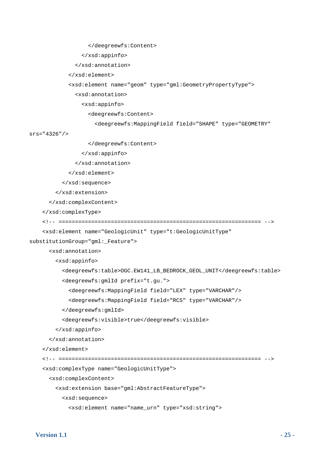```
 </deegreewfs:Content> 
                  </xsd:appinfo> 
                </xsd:annotation> 
              </xsd:element> 
              <xsd:element name="geom" type="gml:GeometryPropertyType"> 
                <xsd:annotation> 
                  <xsd:appinfo> 
                    <deegreewfs:Content> 
                      <deegreewfs:MappingField field="SHAPE" type="GEOMETRY" 
srs="4326"/> 
                    </deegreewfs:Content> 
                  </xsd:appinfo> 
                </xsd:annotation> 
              </xsd:element> 
           </xsd:sequence> 
         </xsd:extension> 
       </xsd:complexContent> 
     </xsd:complexType> 
     <!-- ============================================================== --> 
     <xsd:element name="GeologicUnit" type="t:GeologicUnitType" 
substitutionGroup="gml:_Feature"> 
       <xsd:annotation> 
         <xsd:appinfo> 
           <deegreewfs:table>OGC.EW141_LB_BEDROCK_GEOL_UNIT</deegreewfs:table> 
           <deegreewfs:gmlId prefix="t.gu."> 
              <deegreewfs:MappingField field="LEX" type="VARCHAR"/> 
              <deegreewfs:MappingField field="RCS" type="VARCHAR"/> 
           </deegreewfs:gmlId> 
           <deegreewfs:visible>true</deegreewfs:visible> 
         </xsd:appinfo> 
       </xsd:annotation> 
     </xsd:element> 
     <!-- ============================================================== --> 
     <xsd:complexType name="GeologicUnitType"> 
       <xsd:complexContent> 
         <xsd:extension base="gml:AbstractFeatureType"> 
           <xsd:sequence>
```

```
 <xsd:element name="name_urn" type="xsd:string">
```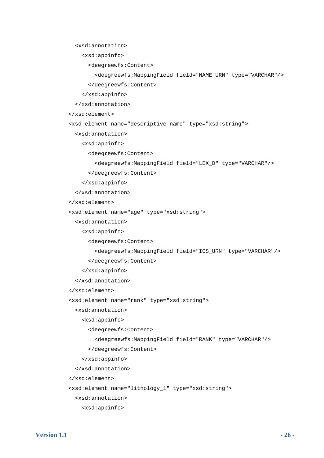<xsd:annotation>

```
 <xsd:appinfo>
```
<deegreewfs:Content>

```
 <deegreewfs:MappingField field="NAME_URN" type="VARCHAR"/>
```
</deegreewfs:Content>

</xsd:appinfo>

</xsd:annotation>

```
 </xsd:element>
```
<xsd:element name="descriptive\_name" type="xsd:string">

<xsd:annotation>

<xsd:appinfo>

<deegreewfs:Content>

```
 <deegreewfs:MappingField field="LEX_D" type="VARCHAR"/>
```
</deegreewfs:Content>

</xsd:appinfo>

</xsd:annotation>

</xsd:element>

<xsd:element name="age" type="xsd:string">

<xsd:annotation>

<xsd:appinfo>

<deegreewfs:Content>

<deegreewfs:MappingField field="ICS\_URN" type="VARCHAR"/>

</deegreewfs:Content>

```
 </xsd:appinfo>
```
</xsd:annotation>

```
 </xsd:element>
```
<xsd:element name="rank" type="xsd:string">

<xsd:annotation>

```
 <xsd:appinfo>
```
<deegreewfs:Content>

```
 <deegreewfs:MappingField field="RANK" type="VARCHAR"/>
```
</deegreewfs:Content>

```
 </xsd:appinfo>
```
</xsd:annotation>

</xsd:element>

<xsd:element name="lithology\_1" type="xsd:string">

<xsd:annotation>

<xsd:appinfo>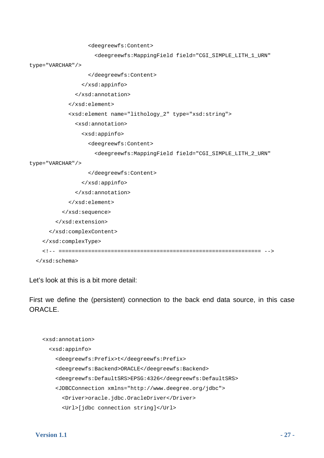```
 <deegreewfs:Content> 
                       <deegreewfs:MappingField field="CGI_SIMPLE_LITH_1_URN" 
type="VARCHAR"/> 
                    </deegreewfs:Content> 
                  </xsd:appinfo> 
                </xsd:annotation> 
              </xsd:element> 
              <xsd:element name="lithology_2" type="xsd:string"> 
                <xsd:annotation> 
                  <xsd:appinfo> 
                    <deegreewfs:Content> 
                       <deegreewfs:MappingField field="CGI_SIMPLE_LITH_2_URN" 
type="VARCHAR"/> 
                    </deegreewfs:Content> 
                  </xsd:appinfo> 
                </xsd:annotation> 
              </xsd:element> 
            </xsd:sequence> 
         </xsd:extension> 
       </xsd:complexContent> 
     </xsd:complexType> 
     <!-- ============================================================== --> 
   </xsd:schema>
```
Let's look at this is a bit more detail:

First we define the (persistent) connection to the back end data source, in this case ORACLE.

```
 <xsd:annotation> 
   <xsd:appinfo> 
     <deegreewfs:Prefix>t</deegreewfs:Prefix> 
     <deegreewfs:Backend>ORACLE</deegreewfs:Backend> 
     <deegreewfs:DefaultSRS>EPSG:4326</deegreewfs:DefaultSRS> 
     <JDBCConnection xmlns="http://www.deegree.org/jdbc"> 
       <Driver>oracle.jdbc.OracleDriver</Driver> 
       <Url>[jdbc connection string]</Url>
```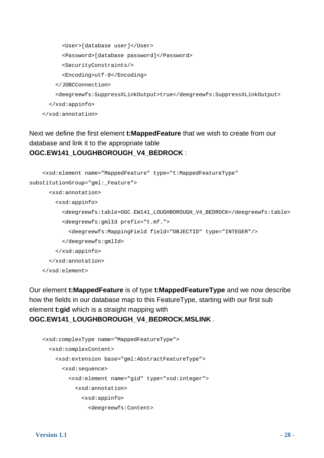```
 <User>[database user]</User> 
       <Password>[database password]</Password> 
       <SecurityConstraints/> 
       <Encoding>utf-8</Encoding> 
     </JDBCConnection> 
     <deegreewfs:SuppressXLinkOutput>true</deegreewfs:SuppressXLinkOutput> 
   </xsd:appinfo> 
 </xsd:annotation>
```
### Next we define the first element **t:MappedFeature** that we wish to create from our database and link it to the appropriate table **OGC.EW141\_LOUGHBOROUGH\_V4\_BEDROCK** :

```
 <xsd:element name="MappedFeature" type="t:MappedFeatureType" 
substitutionGroup="gml:_Feature"> 
       <xsd:annotation> 
         <xsd:appinfo> 
           <deegreewfs:table>OGC.EW141_LOUGHBOROUGH_V4_BEDROCK</deegreewfs:table> 
           <deegreewfs:gmlId prefix="t.mf."> 
              <deegreewfs:MappingField field="OBJECTID" type="INTEGER"/> 
           </deegreewfs:gmlId> 
         </xsd:appinfo> 
       </xsd:annotation> 
     </xsd:element>
```
Our element **t:MappedFeature** is of type **t:MappedFeatureType** and we now describe how the fields in our database map to this FeatureType, starting with our first sub element **t:gid** which is a straight mapping with **OGC.EW141\_LOUGHBOROUGH\_V4\_BEDROCK.MSLINK** .

```
 <xsd:complexType name="MappedFeatureType"> 
   <xsd:complexContent> 
     <xsd:extension base="gml:AbstractFeatureType"> 
       <xsd:sequence> 
         <xsd:element name="gid" type="xsd:integer"> 
           <xsd:annotation> 
              <xsd:appinfo> 
                <deegreewfs:Content>
```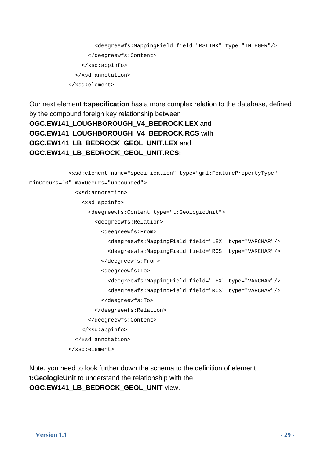```
 <deegreewfs:MappingField field="MSLINK" type="INTEGER"/> 
       </deegreewfs:Content> 
     </xsd:appinfo> 
   </xsd:annotation> 
 </xsd:element>
```
Our next element **t:specification** has a more complex relation to the database, defined by the compound foreign key relationship between **OGC.EW141\_LOUGHBOROUGH\_V4\_BEDROCK.LEX** and **OGC.EW141\_LOUGHBOROUGH\_V4\_BEDROCK.RCS** with **OGC.EW141\_LB\_BEDROCK\_GEOL\_UNIT.LEX** and **OGC.EW141\_LB\_BEDROCK\_GEOL\_UNIT.RCS:**

```
 <xsd:element name="specification" type="gml:FeaturePropertyType" 
minOccurs="0" maxOccurs="unbounded"> 
                <xsd:annotation> 
                  <xsd:appinfo> 
                    <deegreewfs:Content type="t:GeologicUnit"> 
                      <deegreewfs:Relation> 
                        <deegreewfs:From> 
                           <deegreewfs:MappingField field="LEX" type="VARCHAR"/> 
                           <deegreewfs:MappingField field="RCS" type="VARCHAR"/> 
                        </deegreewfs:From> 
                        <deegreewfs:To> 
                           <deegreewfs:MappingField field="LEX" type="VARCHAR"/> 
                           <deegreewfs:MappingField field="RCS" type="VARCHAR"/> 
                         </deegreewfs:To> 
                      </deegreewfs:Relation> 
                    </deegreewfs:Content> 
                  </xsd:appinfo> 
                </xsd:annotation> 
              </xsd:element>
```
Note, you need to look further down the schema to the definition of element **t:GeologicUnit** to understand the relationship with the **OGC.EW141\_LB\_BEDROCK\_GEOL\_UNIT** view.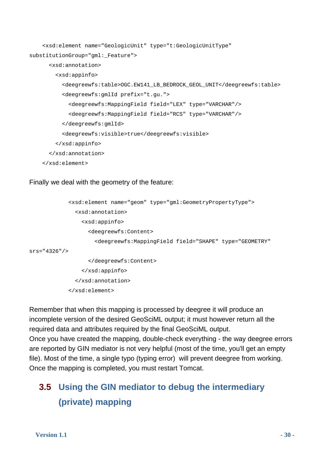```
 <xsd:element name="GeologicUnit" type="t:GeologicUnitType" 
substitutionGroup="gml:_Feature"> 
       <xsd:annotation> 
         <xsd:appinfo> 
           <deegreewfs:table>OGC.EW141_LB_BEDROCK_GEOL_UNIT</deegreewfs:table> 
           <deegreewfs:gmlId prefix="t.gu."> 
             <deegreewfs:MappingField field="LEX" type="VARCHAR"/> 
             <deegreewfs:MappingField field="RCS" type="VARCHAR"/> 
           </deegreewfs:gmlId> 
           <deegreewfs:visible>true</deegreewfs:visible> 
         </xsd:appinfo> 
       </xsd:annotation> 
     </xsd:element>
```
Finally we deal with the geometry of the feature:

```
 <xsd:element name="geom" type="gml:GeometryPropertyType"> 
                <xsd:annotation> 
                  <xsd:appinfo> 
                     <deegreewfs:Content> 
                       <deegreewfs:MappingField field="SHAPE" type="GEOMETRY" 
srs="4326"/> 
                    </deegreewfs:Content> 
                  </xsd:appinfo> 
                </xsd:annotation> 
              </xsd:element>
```
Remember that when this mapping is processed by deegree it will produce an incomplete version of the desired GeoSciML output; it must however return all the required data and attributes required by the final GeoSciML output.

Once you have created the mapping, double-check everything - the way deegree errors are reported by GIN mediator is not very helpful (most of the time, you'll get an empty file). Most of the time, a single typo (typing error) will prevent deegree from working. Once the mapping is completed, you must restart Tomcat.

### <span id="page-29-0"></span>**3.5 Using the GIN mediator to debug the intermediary (private) mapping**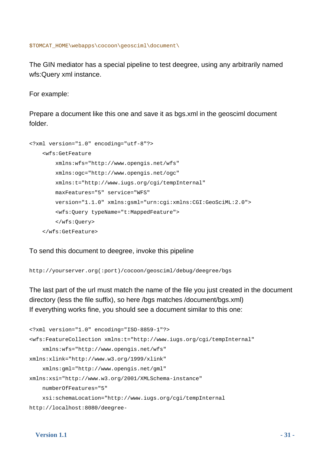\$TOMCAT\_HOME\webapps\cocoon\geosciml\document\

The GIN mediator has a special pipeline to test deegree, using any arbitrarily named wfs:Query xml instance.

For example:

Prepare a document like this one and save it as bgs.xml in the geosciml document folder.

```
<?xml version="1.0" encoding="utf-8"?> 
     <wfs:GetFeature 
         xmlns:wfs="http://www.opengis.net/wfs" 
         xmlns:ogc="http://www.opengis.net/ogc" 
         xmlns:t="http://www.iugs.org/cgi/tempInternal" 
         maxFeatures="5" service="WFS" 
         version="1.1.0" xmlns:gsml="urn:cgi:xmlns:CGI:GeoSciML:2.0"> 
         <wfs:Query typeName="t:MappedFeature"> 
         </wfs:Query> 
     </wfs:GetFeature>
```
To send this document to deegree, invoke this pipeline

http://yourserver.org(:port)/cocoon/geosciml/debug/deegree/bgs

The last part of the url must match the name of the file you just created in the document directory (less the file suffix), so here /bgs matches /document/bgs.xml) If everything works fine, you should see a document similar to this one:

```
<?xml version="1.0" encoding="ISO-8859-1"?> 
<wfs:FeatureCollection xmlns:t="http://www.iugs.org/cgi/tempInternal" 
     xmlns:wfs="http://www.opengis.net/wfs" 
xmlns:xlink="http://www.w3.org/1999/xlink" 
     xmlns:gml="http://www.opengis.net/gml" 
xmlns:xsi="http://www.w3.org/2001/XMLSchema-instance" 
     numberOfFeatures="5" 
     xsi:schemaLocation="http://www.iugs.org/cgi/tempInternal 
http://localhost:8080/deegree-
```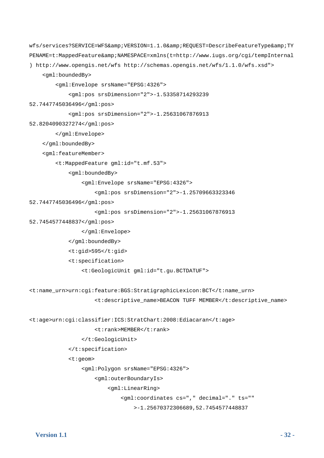```
wfs/services?SERVICE=WFS&VERSION=1.1.0&REQUEST=DescribeFeatureType&TY
PENAME=t:MappedFeature&NAMESPACE=xmlns(t=http://www.iugs.org/cgi/tempInternal
) http://www.opengis.net/wfs http://schemas.opengis.net/wfs/1.1.0/wfs.xsd"> 
     <gml:boundedBy> 
         <gml:Envelope srsName="EPSG:4326"> 
             <gml:pos srsDimension="2">-1.53358714293239 
52.7447745036496</gml:pos> 
             <gml:pos srsDimension="2">-1.25631067876913 
52.8204090327274</gml:pos> 
         </gml:Envelope> 
     </gml:boundedBy> 
     <gml:featureMember> 
         <t:MappedFeature gml:id="t.mf.53"> 
             <gml:boundedBy> 
                  <gml:Envelope srsName="EPSG:4326"> 
                      <gml:pos srsDimension="2">-1.25709663323346 
52.7447745036496</gml:pos> 
                      <gml:pos srsDimension="2">-1.25631067876913 
52.7454577448837</gml:pos> 
                  </gml:Envelope> 
             </gml:boundedBy> 
             <t:gid>595</t:gid> 
             <t:specification> 
                 <t:GeologicUnit gml:id="t.gu.BCTDATUF"> 
<t:name_urn>urn:cgi:feature:BGS:StratigraphicLexicon:BCT</t:name_urn> 
                      <t:descriptive_name>BEACON TUFF MEMBER</t:descriptive_name> 
<t:age>urn:cgi:classifier:ICS:StratChart:2008:Ediacaran</t:age> 
                      <t:rank>MEMBER</t:rank> 
                 </t:GeologicUnit> 
             </t:specification> 
             <t:geom> 
                  <gml:Polygon srsName="EPSG:4326"> 
                      <gml:outerBoundaryIs> 
                          <gml:LinearRing> 
                              <gml:coordinates cs="," decimal="." ts="" 
                                  >-1.25670372306689,52.7454577448837
```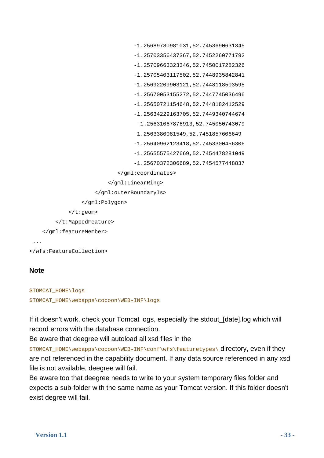```
 -1.25689780981031,52.7453690631345 
                                   -1.25703356437367,52.7452260771792 
                                   -1.25709663323346,52.7450017282326 
                                   -1.25705403117502,52.7448935842841 
                                   -1.25692209903121,52.7448118503595 
                                    -1.25670053155272,52.7447745036496 
                                   -1.25650721154648,52.7448182412529 
                                   -1.25634229163705,52.7449340744674 
                                     -1.25631067876913,52.745050743079 
                                   -1.2563380081549,52.7451857606649 
                                    -1.25640962123418,52.7453300456306 
                                   -1.25655575427669,52.7454478281049 
                                   -1.25670372306689,52.7454577448837 
                              </gml:coordinates> 
                           </gml:LinearRing> 
                      </gml:outerBoundaryIs> 
                  </gml:Polygon> 
              </t:geom> 
         </t:MappedFeature> 
     </gml:featureMember> 
  ... 
</wfs:FeatureCollection>
```
### **Note**

```
$TOMCAT_HOME\logs 
$TOMCAT_HOME\webapps\cocoon\WEB-INF\logs
```
If it doesn't work, check your Tomcat logs, especially the stdout\_[date].log which will record errors with the database connection.

Be aware that deegree will autoload all xsd files in the

\$TOMCAT\_HOME\webapps\cocoon\WEB-INF\conf\wfs\featuretypes\ directory, even if they are not referenced in the capability document. If any data source referenced in any xsd file is not available, deegree will fail.

Be aware too that deegree needs to write to your system temporary files folder and expects a sub-folder with the same name as your Tomcat version. If this folder doesn't exist degree will fail.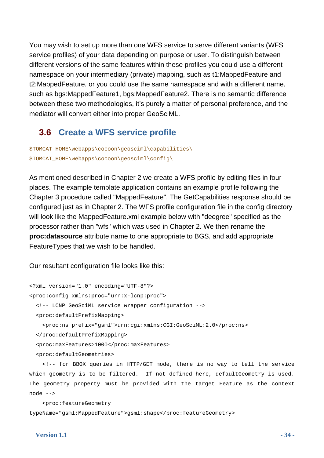You may wish to set up more than one WFS service to serve different variants (WFS service profiles) of your data depending on purpose or user. To distinguish between different versions of the same features within these profiles you could use a different namespace on your intermediary (private) mapping, such as t1:MappedFeature and t2:MappedFeature, or you could use the same namespace and with a different name, such as bgs:MappedFeature1, bgs:MappedFeature2. There is no semantic difference between these two methodologies, it's purely a matter of personal preference, and the mediator will convert either into proper GeoSciML.

### **3.6 Create a WFS service profile**

<span id="page-33-0"></span>\$TOMCAT\_HOME\webapps\cocoon\geosciml\capabilities\ \$TOMCAT\_HOME\webapps\cocoon\geosciml\config\

As mentioned described in Chapter 2 we create a WFS profile by editing files in four places. The example template application contains an example profile following the Chapter 3 procedure called "MappedFeature". The GetCapabilities response should be configured just as in Chapter 2. The WFS profile configuration file in the config directory will look like the MappedFeature.xml example below with "deegree" specified as the processor rather than "wfs" which was used in Chapter 2. We then rename the **proc:datasource** attribute name to one appropriate to BGS, and add appropriate FeatureTypes that we wish to be handled.

Our resultant configuration file looks like this:

```
<?xml version="1.0" encoding="UTF-8"?> 
<proc:config xmlns:proc="urn:x-lcnp:proc"> 
   <!-- LCNP GeoSciML service wrapper configuration --> 
   <proc:defaultPrefixMapping> 
     <proc:ns prefix="gsml">urn:cgi:xmlns:CGI:GeoSciML:2.0</proc:ns> 
   </proc:defaultPrefixMapping> 
   <proc:maxFeatures>1000</proc:maxFeatures> 
   <proc:defaultGeometries> 
     <!-- for BBOX queries in HTTP/GET mode, there is no way to tell the service
```
which geometry is to be filtered. If not defined here, defaultGeometry is used. The geometry property must be provided with the target Feature as the context node -->

 <proc:featureGeometry typeName="gsml:MappedFeature">gsml:shape</proc:featureGeometry>

#### **Version 1.1** - 34 -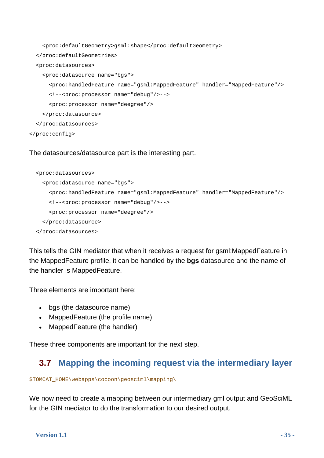```
 <proc:defaultGeometry>gsml:shape</proc:defaultGeometry> 
   </proc:defaultGeometries> 
   <proc:datasources> 
     <proc:datasource name="bgs"> 
       <proc:handledFeature name="gsml:MappedFeature" handler="MappedFeature"/> 
       <!--<proc:processor name="debug"/>--> 
       <proc:processor name="deegree"/> 
     </proc:datasource> 
   </proc:datasources> 
</proc:config>
```
#### The datasources/datasource part is the interesting part.

```
 <proc:datasources> 
   <proc:datasource name="bgs"> 
     <proc:handledFeature name="gsml:MappedFeature" handler="MappedFeature"/> 
     <!--<proc:processor name="debug"/>--> 
     <proc:processor name="deegree"/> 
   </proc:datasource> 
 </proc:datasources>
```
This tells the GIN mediator that when it receives a request for gsml:MappedFeature in the MappedFeature profile, it can be handled by the **bgs** datasource and the name of the handler is MappedFeature.

Three elements are important here:

- bas (the datasource name)
- MappedFeature (the profile name)
- MappedFeature (the handler)

These three components are important for the next step.

### **3.7 Mapping the incoming request via the intermediary layer**

\$TOMCAT\_HOME\webapps\cocoon\geosciml\mapping\

We now need to create a mapping between our intermediary gml output and GeoSciML for the GIN mediator to do the transformation to our desired output.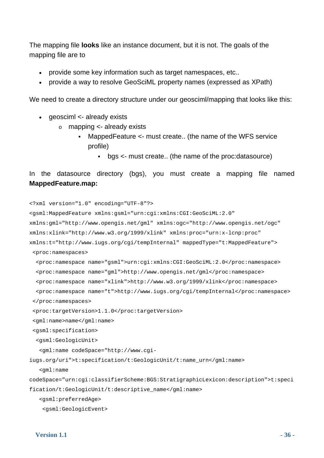The mapping file **looks** like an instance document, but it is not. The goals of the mapping file are to

- provide some key information such as target namespaces, etc..
- provide a way to resolve GeoSciML property names (expressed as XPath)

We need to create a directory structure under our geoscimi/mapping that looks like this:

- qeosciml <- already exists
	- o mapping <- already exists
		- MappedFeature <- must create.. (the name of the WFS service profile)
			- bgs <- must create.. (the name of the proc:datasource)

```
In the datasource directory (bgs), you must create a mapping file named 
MappedFeature.map:
```

```
<?xml version="1.0" encoding="UTF-8"?> 
<gsml:MappedFeature xmlns:gsml="urn:cgi:xmlns:CGI:GeoSciML:2.0" 
xmlns:gml="http://www.opengis.net/gml" xmlns:ogc="http://www.opengis.net/ogc" 
xmlns:xlink="http://www.w3.org/1999/xlink" xmlns:proc="urn:x-lcnp:proc" 
xmlns:t="http://www.iugs.org/cgi/tempInternal" mappedType="t:MappedFeature"> 
  <proc:namespaces> 
   <proc:namespace name="gsml">urn:cgi:xmlns:CGI:GeoSciML:2.0</proc:namespace> 
   <proc:namespace name="gml">http://www.opengis.net/gml</proc:namespace> 
   <proc:namespace name="xlink">http://www.w3.org/1999/xlink</proc:namespace> 
   <proc:namespace name="t">http://www.iugs.org/cgi/tempInternal</proc:namespace> 
  </proc:namespaces> 
  <proc:targetVersion>1.1.0</proc:targetVersion> 
  <gml:name>name</gml:name> 
  <gsml:specification> 
   <gsml:GeologicUnit> 
    <gml:name codeSpace="http://www.cgi-
iugs.org/uri">t:specification/t:GeologicUnit/t:name_urn</gml:name> 
    <gml:name 
codeSpace="urn:cgi:classifierScheme:BGS:StratigraphicLexicon:description">t:speci
fication/t:GeologicUnit/t:descriptive_name</gml:name> 
    <gsml:preferredAge> 
     <gsml:GeologicEvent>
```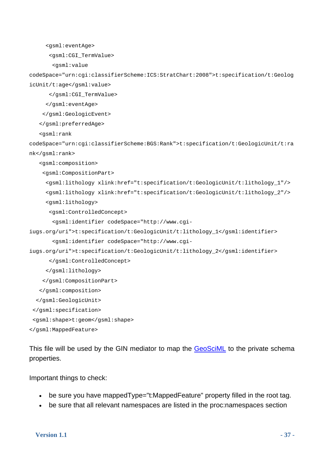```
 <gsml:eventAge>
```
<gsml:CGI\_TermValue>

<gsml:value

codeSpace="urn:cgi:classifierScheme:ICS:StratChart:2008">t:specification/t:Geolog icUnit/t:age</gsml:value>

</gsml:CGI\_TermValue>

</gsml:eventAge>

</gsml:GeologicEvent>

</gsml:preferredAge>

<gsml:rank

codeSpace="urn:cgi:classifierScheme:BGS:Rank">t:specification/t:GeologicUnit/t:ra nk</gsml:rank>

<gsml:composition>

<gsml:CompositionPart>

```
 <gsml:lithology xlink:href="t:specification/t:GeologicUnit/t:lithology_1"/> 
 <gsml:lithology xlink:href="t:specification/t:GeologicUnit/t:lithology_2"/>
```
<gsml:lithology>

<gsml:ControlledConcept>

<gsml:identifier codeSpace="http://www.cgi-

iugs.org/uri">t:specification/t:GeologicUnit/t:lithology\_1</gsml:identifier>

```
 <gsml:identifier codeSpace="http://www.cgi-
```
iugs.org/uri">t:specification/t:GeologicUnit/t:lithology\_2</gsml:identifier>

</gsml:ControlledConcept>

```
 </gsml:lithology>
```
</gsml:CompositionPart>

</gsml:composition>

</gsml:GeologicUnit>

```
 </gsml:specification>
```

```
 <gsml:shape>t:geom</gsml:shape>
```
</gsml:MappedFeature>

This file will be used by the GIN mediator to map the [GeoSciML](https://www.seegrid.csiro.au/twiki/bin/view/CGIModel/GeoSciML) to the private schema properties.

Important things to check:

- be sure you have mappedType="t:MappedFeature" property filled in the root tag.
- be sure that all relevant namespaces are listed in the proc:namespaces section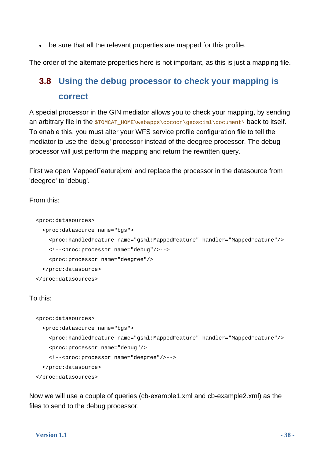be sure that all the relevant properties are mapped for this profile.

<span id="page-37-0"></span>The order of the alternate properties here is not important, as this is just a mapping file.

### **3.8 Using the debug processor to check your mapping is correct**

A special processor in the GIN mediator allows you to check your mapping, by sending an arbitrary file in the  $$TOME\webappa\ccoon\qoccum.$ To enable this, you must alter your WFS service profile configuration file to tell the mediator to use the 'debug' processor instead of the deegree processor. The debug processor will just perform the mapping and return the rewritten query.

First we open MappedFeature.xml and replace the processor in the datasource from 'deegree' to 'debug'.

From this:

```
 <proc:datasources> 
   <proc:datasource name="bgs"> 
     <proc:handledFeature name="gsml:MappedFeature" handler="MappedFeature"/> 
     <!--<proc:processor name="debug"/>--> 
     <proc:processor name="deegree"/> 
   </proc:datasource> 
 </proc:datasources>
```
To this:

```
 <proc:datasources> 
   <proc:datasource name="bgs"> 
     <proc:handledFeature name="gsml:MappedFeature" handler="MappedFeature"/> 
     <proc:processor name="debug"/> 
     <!--<proc:processor name="deegree"/>--> 
   </proc:datasource> 
 </proc:datasources>
```
Now we will use a couple of queries (cb-example1.xml and cb-example2.xml) as the files to send to the debug processor.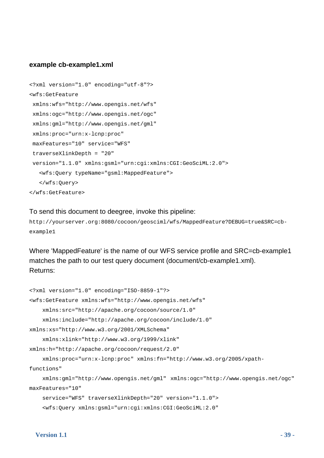#### **example cb-example1.xml**

```
<?xml version="1.0" encoding="utf-8"?> 
<wfs:GetFeature 
 xmlns:wfs="http://www.opengis.net/wfs" 
 xmlns:ogc="http://www.opengis.net/ogc" 
 xmlns:gml="http://www.opengis.net/gml" 
  xmlns:proc="urn:x-lcnp:proc" 
 maxFeatures="10" service="WFS" 
  traverseXlinkDepth = "20" 
  version="1.1.0" xmlns:gsml="urn:cgi:xmlns:CGI:GeoSciML:2.0"> 
    <wfs:Query typeName="gsml:MappedFeature"> 
    </wfs:Query> 
</wfs:GetFeature>
```
#### To send this document to deegree, invoke this pipeline:

```
http://yourserver.org:8080/cocoon/geosciml/wfs/MappedFeature?DEBUG=true&SRC=cb-
example1
```
Where 'MappedFeature' is the name of our WFS service profile and SRC=cb-example1 matches the path to our test query document (document/cb-example1.xml). Returns:

```
<?xml version="1.0" encoding="ISO-8859-1"?> 
<wfs:GetFeature xmlns:wfs="http://www.opengis.net/wfs" 
     xmlns:src="http://apache.org/cocoon/source/1.0" 
     xmlns:include="http://apache.org/cocoon/include/1.0" 
xmlns:xs="http://www.w3.org/2001/XMLSchema" 
     xmlns:xlink="http://www.w3.org/1999/xlink" 
xmlns:h="http://apache.org/cocoon/request/2.0" 
     xmlns:proc="urn:x-lcnp:proc" xmlns:fn="http://www.w3.org/2005/xpath-
functions" 
     xmlns:gml="http://www.opengis.net/gml" xmlns:ogc="http://www.opengis.net/ogc" 
maxFeatures="10" 
     service="WFS" traverseXlinkDepth="20" version="1.1.0"> 
     <wfs:Query xmlns:gsml="urn:cgi:xmlns:CGI:GeoSciML:2.0"
```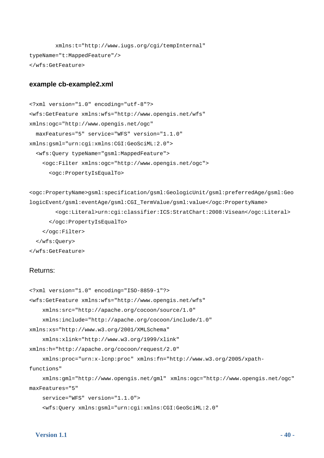```
 xmlns:t="http://www.iugs.org/cgi/tempInternal" 
typeName="t:MappedFeature"/> 
</wfs:GetFeature>
```
#### **example cb-example2.xml**

```
<?xml version="1.0" encoding="utf-8"?> 
<wfs:GetFeature xmlns:wfs="http://www.opengis.net/wfs" 
xmlns:ogc="http://www.opengis.net/ogc" 
   maxFeatures="5" service="WFS" version="1.1.0" 
xmlns:gsml="urn:cgi:xmlns:CGI:GeoSciML:2.0"> 
   <wfs:Query typeName="gsml:MappedFeature"> 
     <ogc:Filter xmlns:ogc="http://www.opengis.net/ogc"> 
       <ogc:PropertyIsEqualTo>
```

```
<ogc:PropertyName>gsml:specification/gsml:GeologicUnit/gsml:preferredAge/gsml:Geo
logicEvent/gsml:eventAge/gsml:CGI_TermValue/gsml:value</ogc:PropertyName> 
         <ogc:Literal>urn:cgi:classifier:ICS:StratChart:2008:Visean</ogc:Literal> 
       </ogc:PropertyIsEqualTo> 
     </ogc:Filter> 
   </wfs:Query> 
</wfs:GetFeature>
```
#### Returns:

```
<?xml version="1.0" encoding="ISO-8859-1"?> 
<wfs:GetFeature xmlns:wfs="http://www.opengis.net/wfs" 
     xmlns:src="http://apache.org/cocoon/source/1.0" 
     xmlns:include="http://apache.org/cocoon/include/1.0" 
xmlns:xs="http://www.w3.org/2001/XMLSchema" 
     xmlns:xlink="http://www.w3.org/1999/xlink" 
xmlns:h="http://apache.org/cocoon/request/2.0" 
     xmlns:proc="urn:x-lcnp:proc" xmlns:fn="http://www.w3.org/2005/xpath-
functions" 
     xmlns:gml="http://www.opengis.net/gml" xmlns:ogc="http://www.opengis.net/ogc" 
maxFeatures="5" 
     service="WFS" version="1.1.0"> 
     <wfs:Query xmlns:gsml="urn:cgi:xmlns:CGI:GeoSciML:2.0"
```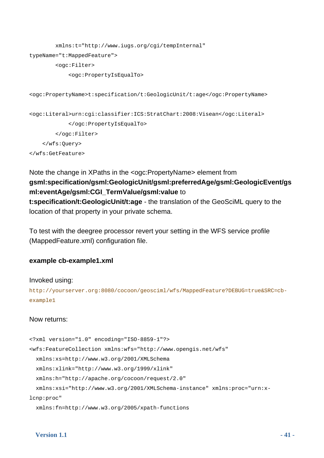```
 xmlns:t="http://www.iugs.org/cgi/tempInternal" 
typeName="t:MappedFeature"> 
         <ogc:Filter> 
             <ogc:PropertyIsEqualTo> 
<ogc:PropertyName>t:specification/t:GeologicUnit/t:age</ogc:PropertyName> 
<ogc:Literal>urn:cgi:classifier:ICS:StratChart:2008:Visean</ogc:Literal> 
             </ogc:PropertyIsEqualTo> 
         </ogc:Filter> 
     </wfs:Query> 
</wfs:GetFeature>
```
### Note the change in XPaths in the <ogc:PropertyName> element from **gsml:specification/gsml:GeologicUnit/gsml:preferredAge/gsml:GeologicEvent/gs ml:eventAge/gsml:CGI\_TermValue/gsml:value** to **t:specification/t:GeologicUnit/t:age** - the translation of the GeoSciML query to the location of that property in your private schema.

To test with the deegree processor revert your setting in the WFS service profile (MappedFeature.xml) configuration file.

### **example cb-example1.xml**

#### Invoked using:

```
http://yourserver.org:8080/cocoon/geosciml/wfs/MappedFeature?DEBUG=true&SRC=cb-
example1
```
#### Now returns:

```
<?xml version="1.0" encoding="ISO-8859-1"?> 
<wfs:FeatureCollection xmlns:wfs="http://www.opengis.net/wfs" 
   xmlns:xs=http://www.w3.org/2001/XMLSchema 
   xmlns:xlink="http://www.w3.org/1999/xlink" 
   xmlns:h="http://apache.org/cocoon/request/2.0" 
   xmlns:xsi="http://www.w3.org/2001/XMLSchema-instance" xmlns:proc="urn:x-
lcnp:proc" 
   xmlns:fn=http://www.w3.org/2005/xpath-functions
```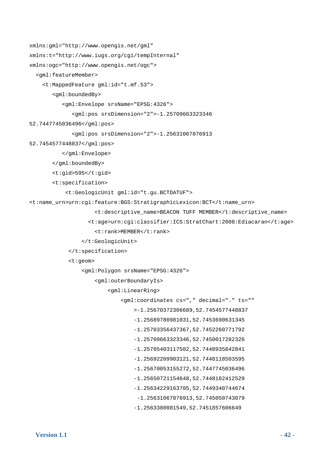```
xmlns:gml="http://www.opengis.net/gml" 
xmlns:t="http://www.iugs.org/cgi/tempInternal" 
xmlns:ogc="http://www.opengis.net/ogc"> 
   <gml:featureMember> 
     <t:MappedFeature gml:id="t.mf.53"> 
        <gml:boundedBy> 
           <gml:Envelope srsName="EPSG:4326"> 
               <gml:pos srsDimension="2">-1.25709663323346 
52.7447745036496</gml:pos> 
               <gml:pos srsDimension="2">-1.25631067876913 
52.7454577448837</gml:pos> 
           </gml:Envelope> 
        </gml:boundedBy> 
        <t:gid>595</t:gid> 
        <t:specification> 
            <t:GeologicUnit gml:id="t.gu.BCTDATUF"> 
<t:name_urn>urn:cgi:feature:BGS:StratigraphicLexicon:BCT</t:name_urn> 
                      <t:descriptive_name>BEACON TUFF MEMBER</t:descriptive_name> 
                    <t:age>urn:cgi:classifier:ICS:StratChart:2008:Ediacaran</t:age> 
                      <t:rank>MEMBER</t:rank> 
                  </t:GeologicUnit> 
             </t:specification> 
             <t:geom> 
                  <gml:Polygon srsName="EPSG:4326"> 
                      <gml:outerBoundaryIs> 
                          <gml:LinearRing> 
                               <gml:coordinates cs="," decimal="." ts="" 
                                   >-1.25670372306689,52.7454577448837 
                                   -1.25689780981031,52.7453690631345 
                                   -1.25703356437367,52.7452260771792 
                                   -1.25709663323346,52.7450017282326 
                                   -1.25705403117502,52.7448935842841 
                                   -1.25692209903121,52.7448118503595 
                                   -1.25670053155272,52.7447745036496 
                                   -1.25650721154648,52.7448182412529 
                                   -1.25634229163705,52.7449340744674 
                                    -1.25631067876913,52.745050743079 
                                   -1.2563380081549,52.7451857606649
```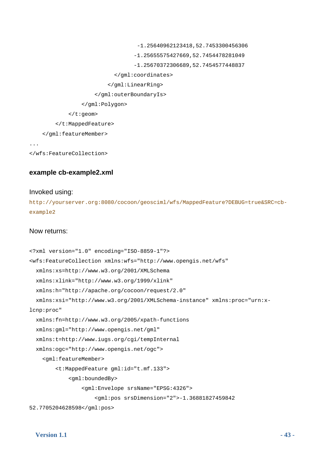```
 -1.25640962123418,52.7453300456306 
                                      -1.25655575427669,52.7454478281049 
                                      -1.25670372306689,52.7454577448837 
                               </gml:coordinates> 
                             </gml:LinearRing> 
                        </gml:outerBoundaryIs> 
                   </gml:Polygon> 
             \langle t:genm \rangle </t:MappedFeature> 
     </gml:featureMember> 
...
```

```
</wfs:FeatureCollection>
```
### **example cb-example2.xml**

#### Invoked using:

http://yourserver.org:8080/cocoon/geosciml/wfs/MappedFeature?DEBUG=true&SRC=cbexample2

#### Now returns:

```
<?xml version="1.0" encoding="ISO-8859-1"?> 
<wfs:FeatureCollection xmlns:wfs="http://www.opengis.net/wfs" 
   xmlns:xs=http://www.w3.org/2001/XMLSchema 
   xmlns:xlink="http://www.w3.org/1999/xlink" 
   xmlns:h="http://apache.org/cocoon/request/2.0" 
   xmlns:xsi="http://www.w3.org/2001/XMLSchema-instance" xmlns:proc="urn:x-
lcnp:proc" 
   xmlns:fn=http://www.w3.org/2005/xpath-functions 
   xmlns:gml="http://www.opengis.net/gml" 
   xmlns:t=http://www.iugs.org/cgi/tempInternal 
   xmlns:ogc="http://www.opengis.net/ogc"> 
     <gml:featureMember> 
         <t:MappedFeature gml:id="t.mf.133"> 
             <gml:boundedBy> 
                  <gml:Envelope srsName="EPSG:4326"> 
                      <gml:pos srsDimension="2">-1.36881827459842 
52.7705204628598</gml:pos>
```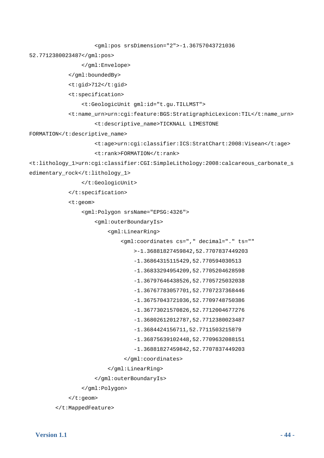```
 <gml:pos srsDimension="2">-1.36757043721036 
52.7712380023487</gml:pos> 
                  </gml:Envelope> 
             </gml:boundedBy> 
             <t:gid>712</t:gid> 
             <t:specification> 
                  <t:GeologicUnit gml:id="t.gu.TILLMST"> 
             <t:name_urn>urn:cgi:feature:BGS:StratigraphicLexicon:TIL</t:name_urn> 
                      <t:descriptive_name>TICKNALL LIMESTONE 
FORMATION</t:descriptive_name>
                      <t:age>urn:cgi:classifier:ICS:StratChart:2008:Visean</t:age> 
                      <t:rank>FORMATION</t:rank> 
<t:lithology_1>urn:cgi:classifier:CGI:SimpleLithology:2008:calcareous_carbonate_s
edimentary rock</t:lithology 1>
                  </t:GeologicUnit> 
             </t:specification> 
             <t:geom> 
                  <gml:Polygon srsName="EPSG:4326"> 
                      <gml:outerBoundaryIs> 
                           <gml:LinearRing> 
                               <gml:coordinates cs="," decimal="." ts="" 
                                   >-1.36881827459842,52.7707837449203 
                                   -1.36864315115429,52.770594030513 
                                   -1.36833294954209,52.7705204628598 
                                   -1.36797646438526,52.7705725032038 
                                   -1.36767783057701,52.7707237368446 
                                   -1.36757043721036,52.7709748750386 
                                   -1.36773021570826,52.7712004677276 
                                   -1.36802612012787,52.7712380023487 
                                   -1.3684424156711,52.7711503215879 
                                   -1.36875639102448,52.7709632088151 
                                   -1.36881827459842,52.7707837449203 
                                </gml:coordinates> 
                           </gml:LinearRing> 
                      </gml:outerBoundaryIs> 
                  </gml:Polygon> 
             </t:geom>
```

```
 </t:MappedFeature>
```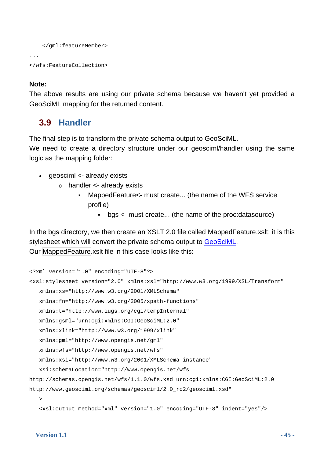```
 </gml:featureMember> 
... 
</wfs:FeatureCollection>
```
### **Note:**

The above results are using our private schema because we haven't yet provided a GeoSciML mapping for the returned content.

### **3.9 Handler**

<span id="page-44-0"></span>The final step is to transform the private schema output to GeoSciML.

We need to create a directory structure under our geosciml/handler using the same logic as the mapping folder:

- geosciml <- already exists
	- $\circ$  handler  $\lt$  already exists
		- MappedFeature<- must create... (the name of the WFS service profile)
			- bgs <- must create... (the name of the proc:datasource)

In the bgs directory, we then create an XSLT 2.0 file called MappedFeature.xslt; it is this stylesheet which will convert the private schema output to [GeoSciML.](https://www.seegrid.csiro.au/twiki/bin/view/CGIModel/GeoSciML) Our MappedFeature.xslt file in this case looks like this:

```
<?xml version="1.0" encoding="UTF-8"?> 
<xsl:stylesheet version="2.0" xmlns:xsl="http://www.w3.org/1999/XSL/Transform" 
    xmlns:xs="http://www.w3.org/2001/XMLSchema" 
    xmlns:fn="http://www.w3.org/2005/xpath-functions" 
    xmlns:t="http://www.iugs.org/cgi/tempInternal" 
    xmlns:gsml="urn:cgi:xmlns:CGI:GeoSciML:2.0" 
    xmlns:xlink="http://www.w3.org/1999/xlink" 
    xmlns:gml="http://www.opengis.net/gml" 
    xmlns:wfs="http://www.opengis.net/wfs" 
    xmlns:xsi="http://www.w3.org/2001/XMLSchema-instance" 
    xsi:schemaLocation="http://www.opengis.net/wfs 
http://schemas.opengis.net/wfs/1.1.0/wfs.xsd urn:cgi:xmlns:CGI:GeoSciML:2.0 
http://www.geosciml.org/schemas/geosciml/2.0_rc2/geosciml.xsd" 
\rightarrow <xsl:output method="xml" version="1.0" encoding="UTF-8" indent="yes"/>
```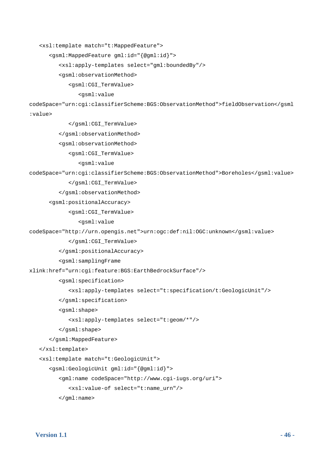```
 <xsl:template match="t:MappedFeature">
```

```
 <gsml:MappedFeature gml:id="{@gml:id}">
```

```
 <xsl:apply-templates select="gml:boundedBy"/>
```
<gsml:observationMethod>

<gsml:CGI\_TermValue>

#### <gsml:value

codeSpace="urn:cgi:classifierScheme:BGS:ObservationMethod">fieldObservation</gsml

:value>

</gsml:CGI\_TermValue>

```
 </gsml:observationMethod>
```
<gsml:observationMethod>

```
 <gsml:CGI_TermValue>
```
#### <gsml:value

codeSpace="urn:cgi:classifierScheme:BGS:ObservationMethod">Boreholes</gsml:value>

#### </gsml:CGI\_TermValue>

</gsml:observationMethod>

```
<gsml:positionalAccuracy>
```
<gsml:CGI\_TermValue>

```
 <gsml:value
```
codeSpace="http://urn.opengis.net">urn:ogc:def:nil:OGC:unknown</gsml:value>

```
 </gsml:CGI_TermValue>
```
</gsml:positionalAccuracy>

```
 <gsml:samplingFrame
```
xlink:href="urn:cgi:feature:BGS:EarthBedrockSurface"/>

```
 <gsml:specification>
```

```
 <xsl:apply-templates select="t:specification/t:GeologicUnit"/>
```

```
 </gsml:specification>
```

```
 <gsml:shape>
```

```
 <xsl:apply-templates select="t:geom/*"/>
```

```
 </gsml:shape>
```

```
 </gsml:MappedFeature>
```

```
 </xsl:template>
```

```
 <xsl:template match="t:GeologicUnit">
```

```
 <gsml:GeologicUnit gml:id="{@gml:id}">
```

```
 <gml:name codeSpace="http://www.cgi-iugs.org/uri">
```

```
 <xsl:value-of select="t:name_urn"/>
```
</gml:name>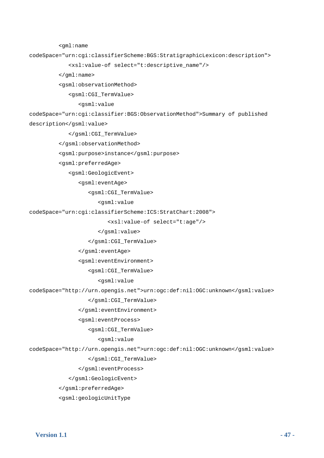```
 <gml:name
```
codeSpace="urn:cgi:classifierScheme:BGS:StratigraphicLexicon:description">

<xsl:value-of select="t:descriptive\_name"/>

</gml:name>

<gsml:observationMethod>

<gsml:CGI\_TermValue>

<gsml:value

codeSpace="urn:cgi:classifier:BGS:ObservationMethod">Summary of published

description</gsml:value>

</gsml:CGI\_TermValue>

</gsml:observationMethod>

<gsml:purpose>instance</gsml:purpose>

<gsml:preferredAge>

<gsml:GeologicEvent>

<gsml:eventAge>

<gsml:CGI\_TermValue>

<gsml:value

codeSpace="urn:cgi:classifierScheme:ICS:StratChart:2008">

<xsl:value-of select="t:age"/>

</gsml:value>

</gsml:CGI\_TermValue>

</gsml:eventAge>

<gsml:eventEnvironment>

<gsml:CGI\_TermValue>

<gsml:value

codeSpace="http://urn.opengis.net">urn:ogc:def:nil:OGC:unknown</gsml:value>

</gsml:CGI\_TermValue>

</gsml:eventEnvironment>

<gsml:eventProcess>

<gsml:CGI\_TermValue>

<gsml:value

codeSpace="http://urn.opengis.net">urn:ogc:def:nil:OGC:unknown</gsml:value>

</gsml:CGI\_TermValue>

</gsml:eventProcess>

</gsml:GeologicEvent>

</gsml:preferredAge>

<gsml:geologicUnitType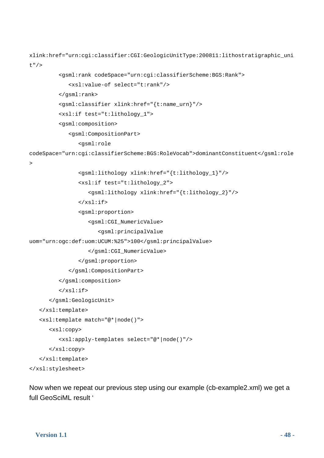```
xlink:href="urn:cgi:classifier:CGI:GeologicUnitType:200811:lithostratigraphic_uni
t"/> 
          <gsml:rank codeSpace="urn:cgi:classifierScheme:BGS:Rank"> 
              <xsl:value-of select="t:rank"/> 
          </gsml:rank> 
          <gsml:classifier xlink:href="{t:name_urn}"/> 
          <xsl:if test="t:lithology_1"> 
          <gsml:composition> 
              <gsml:CompositionPart> 
                 <gsml:role 
codeSpace="urn:cgi:classifierScheme:BGS:RoleVocab">dominantConstituent</gsml:role
\rightarrow <gsml:lithology xlink:href="{t:lithology_1}"/> 
                 <xsl:if test="t:lithology_2"> 
                    <gsml:lithology xlink:href="{t:lithology_2}"/> 
                \langle xsl:if>
                 <gsml:proportion> 
                    <gsml:CGI_NumericValue> 
                        <gsml:principalValue 
uom="urn:ogc:def:uom:UCUM:%25">100</gsml:principalValue> 
                    </gsml:CGI_NumericValue> 
                 </gsml:proportion> 
              </gsml:CompositionPart> 
          </gsml:composition> 
         \langle xsl:if>
       </gsml:GeologicUnit> 
    </xsl:template> 
    <xsl:template match="@*|node()"> 
       <xsl:copy> 
          <xsl:apply-templates select="@*|node()"/> 
       </xsl:copy> 
    </xsl:template> 
</xsl:stylesheet>
```
Now when we repeat our previous step using our example (cb-example2.xml) we get a full GeoSciML result '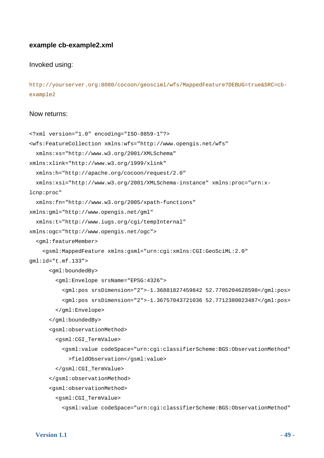#### **example cb-example2.xml**

#### Invoked using:

```
http://yourserver.org:8080/cocoon/geosciml/wfs/MappedFeature?DEBUG=true&SRC=cb-
example2
```
#### Now returns:

```
<?xml version="1.0" encoding="ISO-8859-1"?> 
<wfs:FeatureCollection xmlns:wfs="http://www.opengis.net/wfs" 
   xmlns:xs="http://www.w3.org/2001/XMLSchema" 
xmlns:xlink="http://www.w3.org/1999/xlink" 
   xmlns:h="http://apache.org/cocoon/request/2.0" 
   xmlns:xsi="http://www.w3.org/2001/XMLSchema-instance" xmlns:proc="urn:x-
lcnp:proc" 
   xmlns:fn="http://www.w3.org/2005/xpath-functions" 
xmlns:gml="http://www.opengis.net/gml" 
   xmlns:t="http://www.iugs.org/cgi/tempInternal" 
xmlns:ogc="http://www.opengis.net/ogc"> 
   <gml:featureMember> 
     <gsml:MappedFeature xmlns:gsml="urn:cgi:xmlns:CGI:GeoSciML:2.0" 
gml:id="t.mf.133"> 
       <gml:boundedBy> 
         <gml:Envelope srsName="EPSG:4326"> 
           <gml:pos srsDimension="2">-1.36881827459842 52.7705204628598</gml:pos> 
           <gml:pos srsDimension="2">-1.36757043721036 52.7712380023487</gml:pos> 
         </gml:Envelope> 
       </gml:boundedBy> 
       <gsml:observationMethod> 
         <gsml:CGI_TermValue> 
           <gsml:value codeSpace="urn:cgi:classifierScheme:BGS:ObservationMethod" 
             >fieldObservation</gsml:value> 
         </gsml:CGI_TermValue> 
       </gsml:observationMethod> 
       <gsml:observationMethod> 
         <gsml:CGI_TermValue> 
           <gsml:value codeSpace="urn:cgi:classifierScheme:BGS:ObservationMethod"
```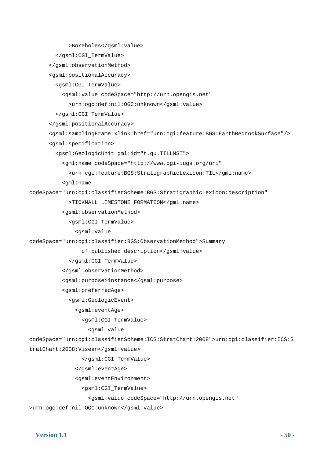```
 >Boreholes</gsml:value> 
         </gsml:CGI_TermValue> 
       </gsml:observationMethod> 
       <gsml:positionalAccuracy> 
         <gsml:CGI_TermValue> 
           <gsml:value codeSpace="http://urn.opengis.net" 
             >urn:ogc:def:nil:OGC:unknown</gsml:value> 
         </gsml:CGI_TermValue> 
       </gsml:positionalAccuracy> 
       <gsml:samplingFrame xlink:href="urn:cgi:feature:BGS:EarthBedrockSurface"/> 
       <gsml:specification> 
         <gsml:GeologicUnit gml:id="t.gu.TILLMST"> 
           <gml:name codeSpace="http://www.cgi-iugs.org/uri" 
             >urn:cgi:feature:BGS:StratigraphicLexicon:TIL</gml:name> 
           <gml:name 
codeSpace="urn:cgi:classifierScheme:BGS:StratigraphicLexicon:description" 
             >TICKNALL LIMESTONE FORMATION</gml:name> 
           <gsml:observationMethod> 
             <gsml:CGI_TermValue> 
                <gsml:value 
codeSpace="urn:cgi:classifier:BGS:ObservationMethod">Summary 
                  of published description</gsml:value> 
             </gsml:CGI_TermValue> 
           </gsml:observationMethod> 
           <gsml:purpose>instance</gsml:purpose> 
           <gsml:preferredAge> 
             <gsml:GeologicEvent> 
                <gsml:eventAge> 
                  <gsml:CGI_TermValue> 
                    <gsml:value 
codeSpace="urn:cgi:classifierScheme:ICS:StratChart:2008">urn:cgi:classifier:ICS:S
tratChart:2008:Visean</gsml:value> 
                  </gsml:CGI_TermValue> 
                </gsml:eventAge> 
                <gsml:eventEnvironment> 
                  <gsml:CGI_TermValue> 
                    <gsml:value codeSpace="http://urn.opengis.net"
```
>urn:ogc:def:nil:OGC:unknown</gsml:value>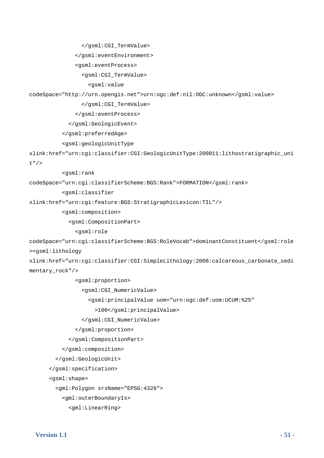```
 </gsml:CGI_TermValue>
```

```
 </gsml:eventEnvironment>
```

```
 <gsml:eventProcess>
```

```
 <gsml:CGI_TermValue>
```

```
 <gsml:value
```
codeSpace="http://urn.opengis.net">urn:ogc:def:nil:OGC:unknown</gsml:value>

```
 </gsml:CGI_TermValue>
```
</gsml:eventProcess>

</gsml:GeologicEvent>

</gsml:preferredAge>

```
 <gsml:geologicUnitType
```

```
xlink:href="urn:cgi:classifier:CGI:GeologicUnitType:200811:lithostratigraphic_uni
t"/>
```

```
 <gsml:rank
```

```
codeSpace="urn:cgi:classifierScheme:BGS:Rank">FORMATION</gsml:rank>
```
<gsml:classifier

```
xlink:href="urn:cgi:feature:BGS:StratigraphicLexicon:TIL"/>
```

```
 <gsml:composition>
```
<gsml:CompositionPart>

```
 <gsml:role
```

```
codeSpace="urn:cgi:classifierScheme:BGS:RoleVocab">dominantConstituent</gsml:role
><gsml:lithology
```

```
xlink:href="urn:cgi:classifier:CGI:SimpleLithology:2008:calcareous_carbonate_sedi
mentary_rock"/>
```
<gsml:proportion>

```
 <gsml:CGI_NumericValue>
```

```
 <gsml:principalValue uom="urn:ogc:def:uom:UCUM:%25"
```

```
 >100</gsml:principalValue>
```

```
 </gsml:CGI_NumericValue>
```

```
 </gsml:proportion>
```

```
 </gsml:CompositionPart>
```

```
 </gsml:composition>
```

```
 </gsml:GeologicUnit>
```

```
 </gsml:specification>
```

```
 <gsml:shape>
```

```
 <gml:Polygon srsName="EPSG:4326">
```

```
 <gml:outerBoundaryIs>
```

```
 <gml:LinearRing>
```